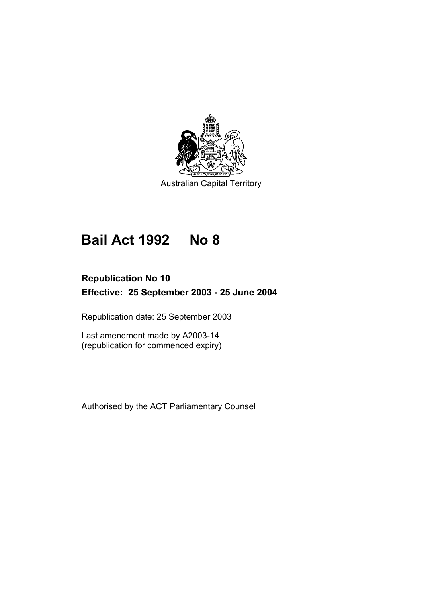

# **Bail Act 1992 No 8**

# **Republication No 10 Effective: 25 September 2003 - 25 June 2004**

Republication date: 25 September 2003

Last amendment made by A2003-14 (republication for commenced expiry)

Authorised by the ACT Parliamentary Counsel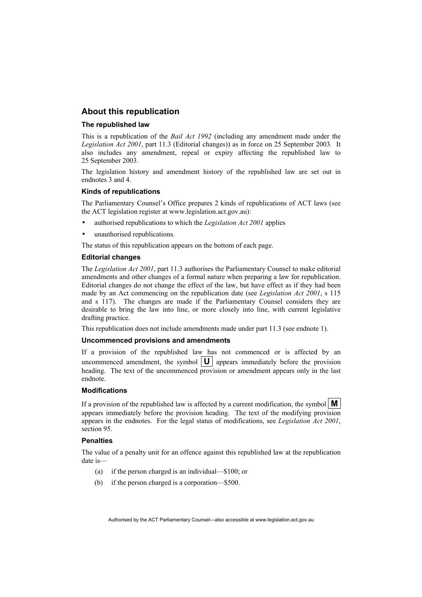## **About this republication**

#### **The republished law**

This is a republication of the *Bail Act 1992* (including any amendment made under the *Legislation Act 2001*, part 11.3 (Editorial changes)) as in force on 25 September 2003*.* It also includes any amendment, repeal or expiry affecting the republished law to 25 September 2003.

The legislation history and amendment history of the republished law are set out in endnotes 3 and 4.

#### **Kinds of republications**

The Parliamentary Counsel's Office prepares 2 kinds of republications of ACT laws (see the ACT legislation register at www.legislation.act.gov.au):

- authorised republications to which the *Legislation Act 2001* applies
- unauthorised republications.

The status of this republication appears on the bottom of each page.

#### **Editorial changes**

The *Legislation Act 2001*, part 11.3 authorises the Parliamentary Counsel to make editorial amendments and other changes of a formal nature when preparing a law for republication. Editorial changes do not change the effect of the law, but have effect as if they had been made by an Act commencing on the republication date (see *Legislation Act 2001*, s 115 and s 117). The changes are made if the Parliamentary Counsel considers they are desirable to bring the law into line, or more closely into line, with current legislative drafting practice.

This republication does not include amendments made under part 11.3 (see endnote 1).

#### **Uncommenced provisions and amendments**

If a provision of the republished law has not commenced or is affected by an uncommenced amendment, the symbol  $|\mathbf{U}|$  appears immediately before the provision heading. The text of the uncommenced provision or amendment appears only in the last endnote.

#### **Modifications**

If a provision of the republished law is affected by a current modification, the symbol  $\mathbf{M}$ appears immediately before the provision heading. The text of the modifying provision appears in the endnotes. For the legal status of modifications, see *Legislation Act 2001*, section 95.

#### **Penalties**

The value of a penalty unit for an offence against this republished law at the republication date is—

- (a) if the person charged is an individual—\$100; or
- (b) if the person charged is a corporation—\$500.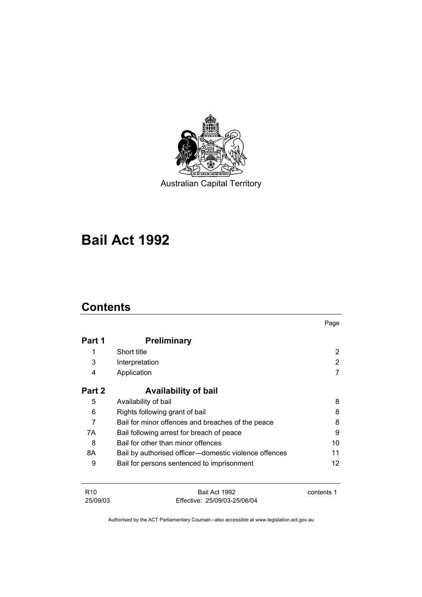

# **Bail Act 1992**

## **Contents**

25/09/03

|                 |                                                       | Page       |
|-----------------|-------------------------------------------------------|------------|
| Part 1          | <b>Preliminary</b>                                    |            |
| 1               | Short title                                           | 2          |
| 3               | Interpretation                                        | 2          |
| 4               | Application                                           |            |
| Part 2          | <b>Availability of bail</b>                           |            |
| 5               | Availability of bail                                  | 8          |
| 6               | Rights following grant of bail                        | 8          |
| 7               | Bail for minor offences and breaches of the peace     | 8          |
| 7A              | Bail following arrest for breach of peace             | 9          |
| 8               | Bail for other than minor offences                    | 10         |
| 8A              | Bail by authorised officer—domestic violence offences | 11         |
| 9               | Bail for persons sentenced to imprisonment            | 12         |
| R <sub>10</sub> | Bail Act 1992                                         | contents 1 |

Authorised by the ACT Parliamentary Counsel—also accessible at www.legislation.act.gov.au

Effective: 25/09/03-25/06/04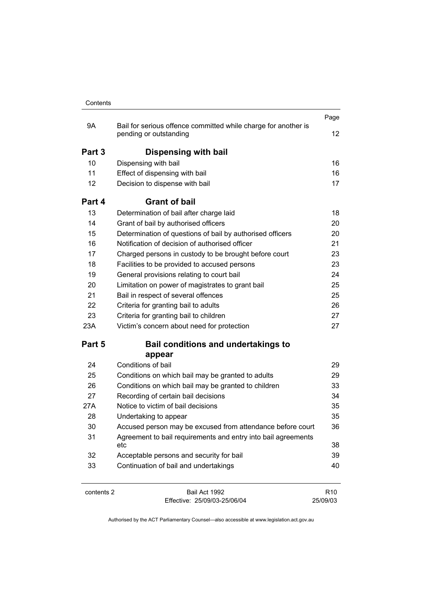| Contents |  |
|----------|--|

|            |                                                                                          | Page            |
|------------|------------------------------------------------------------------------------------------|-----------------|
| 9Α         | Bail for serious offence committed while charge for another is<br>pending or outstanding | 12 <sup>°</sup> |
| Part 3     | Dispensing with bail                                                                     |                 |
| 10         | Dispensing with bail                                                                     | 16              |
| 11         | Effect of dispensing with bail                                                           | 16              |
| 12         | Decision to dispense with bail                                                           | 17              |
| Part 4     | <b>Grant of bail</b>                                                                     |                 |
| 13         | Determination of bail after charge laid                                                  | 18              |
| 14         | Grant of bail by authorised officers                                                     | 20              |
| 15         | Determination of questions of bail by authorised officers                                | 20              |
| 16         | Notification of decision of authorised officer                                           | 21              |
| 17         | Charged persons in custody to be brought before court                                    | 23              |
| 18         | Facilities to be provided to accused persons                                             | 23              |
| 19         | General provisions relating to court bail                                                | 24              |
| 20         | Limitation on power of magistrates to grant bail                                         | 25              |
| 21         | Bail in respect of several offences                                                      | 25              |
| 22         | Criteria for granting bail to adults                                                     | 26              |
| 23         | Criteria for granting bail to children                                                   | 27              |
| 23A        | Victim's concern about need for protection                                               | 27              |
| Part 5     | <b>Bail conditions and undertakings to</b><br>appear                                     |                 |
| 24         | Conditions of bail                                                                       | 29              |
| 25         | Conditions on which bail may be granted to adults                                        | 29              |
| 26         | Conditions on which bail may be granted to children                                      | 33              |
| 27         | Recording of certain bail decisions                                                      | 34              |
| 27A        | Notice to victim of bail decisions                                                       | 35              |
| 28         | Undertaking to appear                                                                    | 35              |
| 30         | Accused person may be excused from attendance before court                               | 36              |
| 31         | Agreement to bail requirements and entry into bail agreements<br>etc                     | 38              |
| 32         | Acceptable persons and security for bail                                                 | 39              |
| 33         | Continuation of bail and undertakings                                                    | 40              |
| contents 2 | Bail Act 1992                                                                            | R <sub>10</sub> |

Effective: 25/09/03-25/06/04

R10 25/09/03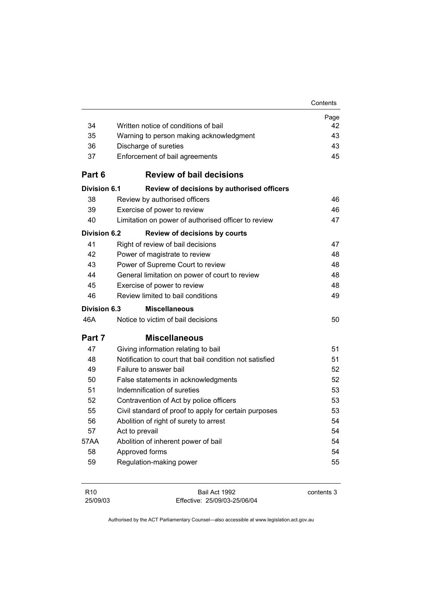|                     |                                                         | Contents |
|---------------------|---------------------------------------------------------|----------|
|                     |                                                         | Page     |
| 34                  | Written notice of conditions of bail                    | 42       |
| 35                  | Warning to person making acknowledgment                 | 43       |
| 36                  | Discharge of sureties                                   | 43       |
| 37                  | Enforcement of bail agreements                          | 45       |
| Part 6              | <b>Review of bail decisions</b>                         |          |
| <b>Division 6.1</b> | Review of decisions by authorised officers              |          |
| 38                  | Review by authorised officers                           | 46       |
| 39                  | Exercise of power to review                             | 46       |
| 40                  | Limitation on power of authorised officer to review     | 47       |
| <b>Division 6.2</b> | <b>Review of decisions by courts</b>                    |          |
| 41                  | Right of review of bail decisions                       | 47       |
| 42                  | Power of magistrate to review                           | 48       |
| 43                  | Power of Supreme Court to review                        | 48       |
| 44                  | General limitation on power of court to review          | 48       |
| 45                  | Exercise of power to review                             | 48       |
| 46                  | Review limited to bail conditions                       | 49       |
| <b>Division 6.3</b> | <b>Miscellaneous</b>                                    |          |
| 46A                 | Notice to victim of bail decisions                      | 50       |
| Part 7              | <b>Miscellaneous</b>                                    |          |
| 47                  | Giving information relating to bail                     | 51       |
| 48                  | Notification to court that bail condition not satisfied | 51       |
| 49                  | Failure to answer bail                                  | 52       |
| 50                  | False statements in acknowledgments                     | 52       |
| 51                  | Indemnification of sureties                             | 53       |
| 52                  | Contravention of Act by police officers                 | 53       |
| 55                  | Civil standard of proof to apply for certain purposes   | 53       |
| 56                  | Abolition of right of surety to arrest                  | 54       |
| 57                  | Act to prevail                                          | 54       |
| 57AA                | Abolition of inherent power of bail                     | 54       |
| 58                  | Approved forms                                          | 54       |
| 59                  | Regulation-making power                                 | 55       |
|                     |                                                         |          |

| R <sub>10</sub> | Bail Act 1992                | contents 3 |
|-----------------|------------------------------|------------|
| 25/09/03        | Effective: 25/09/03-25/06/04 |            |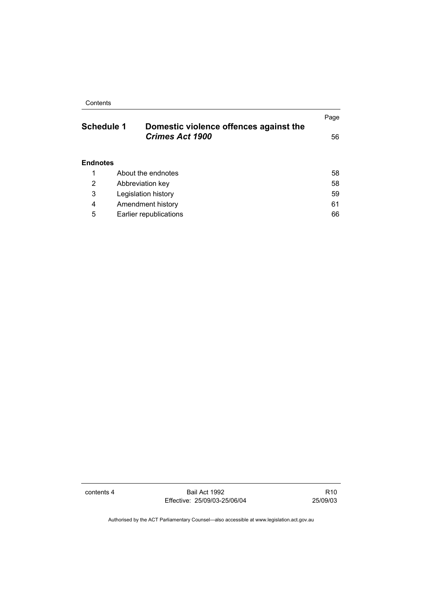Contents

| <b>Schedule 1</b> | Domestic violence offences against the | Page |
|-------------------|----------------------------------------|------|
|                   | <b>Crimes Act 1900</b>                 | 56   |
| <b>Endnotes</b>   |                                        |      |
| 1                 | About the endnotes                     | 58   |
| 2                 | Abbreviation key                       | 58   |
| 3                 | Legislation history                    | 59   |
| 4                 | Amendment history                      | 61   |
| 5                 | Earlier republications                 | 66   |

contents 4 Bail Act 1992 Effective: 25/09/03-25/06/04

R10 25/09/03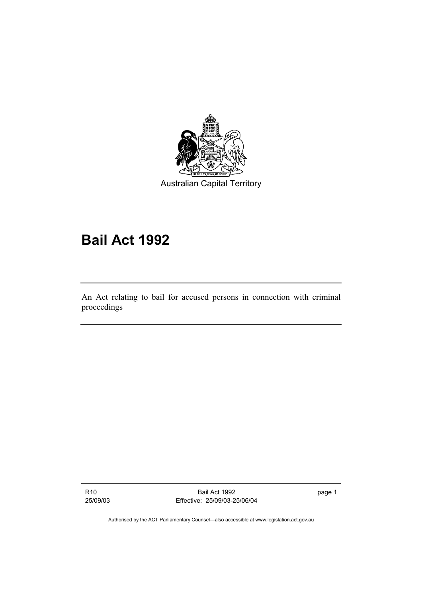

# **Bail Act 1992**

An Act relating to bail for accused persons in connection with criminal proceedings

R10 25/09/03

Bail Act 1992 Effective: 25/09/03-25/06/04 page 1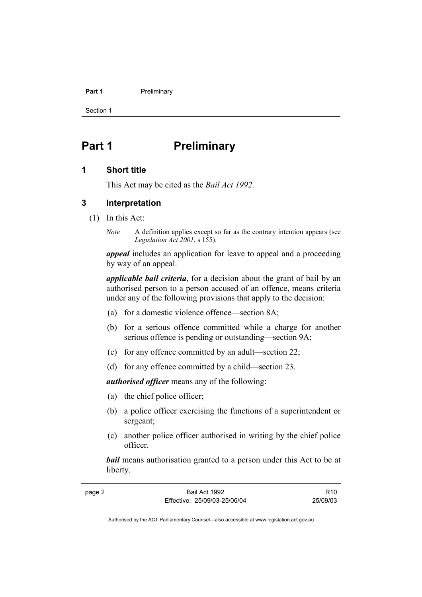#### **Part 1** Preliminary

Section 1

# **Part 1** Preliminary

## **1 Short title**

This Act may be cited as the *Bail Act 1992*.

## **3 Interpretation**

(1) In this Act:

page 2

*Note* A definition applies except so far as the contrary intention appears (see *Legislation Act 2001*, s 155).

*appeal* includes an application for leave to appeal and a proceeding by way of an appeal.

*applicable bail criteria*, for a decision about the grant of bail by an authorised person to a person accused of an offence, means criteria under any of the following provisions that apply to the decision:

- (a) for a domestic violence offence—section 8A;
- (b) for a serious offence committed while a charge for another serious offence is pending or outstanding—section 9A;
- (c) for any offence committed by an adult—section 22;
- (d) for any offence committed by a child—section 23.

*authorised officer* means any of the following:

- (a) the chief police officer;
- (b) a police officer exercising the functions of a superintendent or sergeant;
- (c) another police officer authorised in writing by the chief police officer.

*bail* means authorisation granted to a person under this Act to be at liberty.

| Bail Act 1992                | R <sub>10</sub> |
|------------------------------|-----------------|
| Effective: 25/09/03-25/06/04 | 25/09/03        |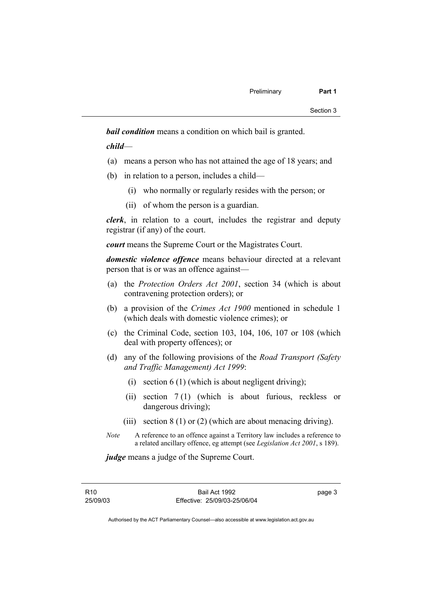*bail condition* means a condition on which bail is granted.

*child*—

- (a) means a person who has not attained the age of 18 years; and
- (b) in relation to a person, includes a child—
	- (i) who normally or regularly resides with the person; or
	- (ii) of whom the person is a guardian.

*clerk*, in relation to a court, includes the registrar and deputy registrar (if any) of the court.

*court* means the Supreme Court or the Magistrates Court.

*domestic violence offence* means behaviour directed at a relevant person that is or was an offence against—

- (a) the *Protection Orders Act 2001*, section 34 (which is about contravening protection orders); or
- (b) a provision of the *Crimes Act 1900* mentioned in schedule 1 (which deals with domestic violence crimes); or
- (c) the Criminal Code, section 103, 104, 106, 107 or 108 (which deal with property offences); or
- (d) any of the following provisions of the *Road Transport (Safety and Traffic Management) Act 1999*:
	- (i) section  $6(1)$  (which is about negligent driving);
	- (ii) section 7 (1) (which is about furious, reckless or dangerous driving);
	- (iii) section  $8(1)$  or (2) (which are about menacing driving).
- *Note* A reference to an offence against a Territory law includes a reference to a related ancillary offence, eg attempt (see *Legislation Act 2001*, s 189).

*judge* means a judge of the Supreme Court.

R10 25/09/03 page 3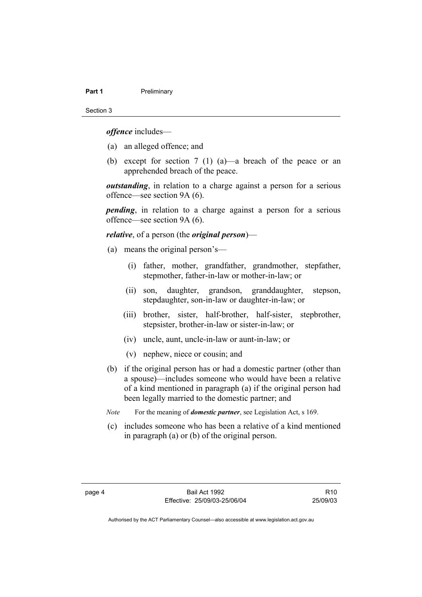#### **Part 1** Preliminary

Section 3

*offence* includes—

- (a) an alleged offence; and
- (b) except for section 7 (1) (a)—a breach of the peace or an apprehended breach of the peace.

*outstanding*, in relation to a charge against a person for a serious offence—see section 9A (6).

*pending*, in relation to a charge against a person for a serious offence—see section 9A (6).

#### *relative*, of a person (the *original person*)—

- (a) means the original person's—
	- (i) father, mother, grandfather, grandmother, stepfather, stepmother, father-in-law or mother-in-law; or
	- (ii) son, daughter, grandson, granddaughter, stepson, stepdaughter, son-in-law or daughter-in-law; or
	- (iii) brother, sister, half-brother, half-sister, stepbrother, stepsister, brother-in-law or sister-in-law; or
	- (iv) uncle, aunt, uncle-in-law or aunt-in-law; or
	- (v) nephew, niece or cousin; and
- (b) if the original person has or had a domestic partner (other than a spouse)—includes someone who would have been a relative of a kind mentioned in paragraph (a) if the original person had been legally married to the domestic partner; and
- *Note* For the meaning of *domestic partner*, see Legislation Act, s 169.
- (c) includes someone who has been a relative of a kind mentioned in paragraph (a) or (b) of the original person.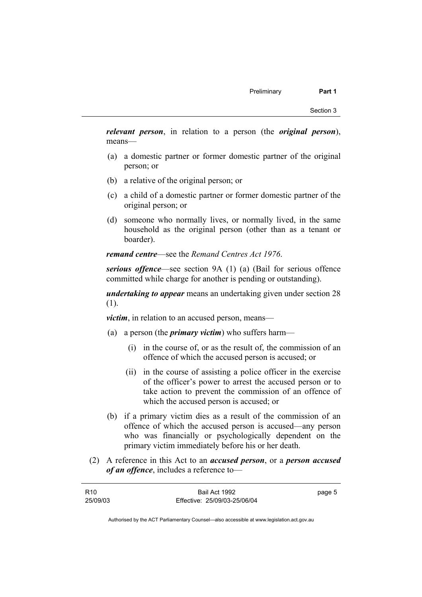*relevant person*, in relation to a person (the *original person*), means—

- (a) a domestic partner or former domestic partner of the original person; or
- (b) a relative of the original person; or
- (c) a child of a domestic partner or former domestic partner of the original person; or
- (d) someone who normally lives, or normally lived, in the same household as the original person (other than as a tenant or boarder).

*remand centre*—see the *Remand Centres Act 1976*.

*serious offence*—see section 9A (1) (a) (Bail for serious offence committed while charge for another is pending or outstanding).

*undertaking to appear* means an undertaking given under section 28 (1).

*victim*, in relation to an accused person, means—

- (a) a person (the *primary victim*) who suffers harm—
	- (i) in the course of, or as the result of, the commission of an offence of which the accused person is accused; or
	- (ii) in the course of assisting a police officer in the exercise of the officer's power to arrest the accused person or to take action to prevent the commission of an offence of which the accused person is accused; or
- (b) if a primary victim dies as a result of the commission of an offence of which the accused person is accused—any person who was financially or psychologically dependent on the primary victim immediately before his or her death.
- (2) A reference in this Act to an *accused person*, or a *person accused of an offence*, includes a reference to—

| R <sub>10</sub> | Bail Act 1992                | page 5 |
|-----------------|------------------------------|--------|
| 25/09/03        | Effective: 25/09/03-25/06/04 |        |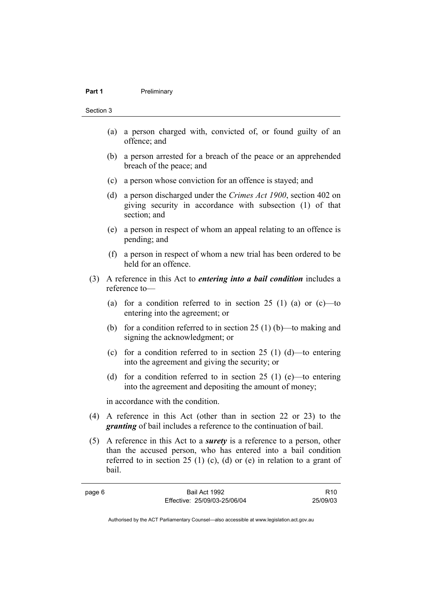#### **Part 1** Preliminary

#### Section 3

page 6

- (a) a person charged with, convicted of, or found guilty of an offence; and
- (b) a person arrested for a breach of the peace or an apprehended breach of the peace; and
- (c) a person whose conviction for an offence is stayed; and
- (d) a person discharged under the *Crimes Act 1900*, section 402 on giving security in accordance with subsection (1) of that section; and
- (e) a person in respect of whom an appeal relating to an offence is pending; and
- (f) a person in respect of whom a new trial has been ordered to be held for an offence.
- (3) A reference in this Act to *entering into a bail condition* includes a reference to—
	- (a) for a condition referred to in section  $25(1)$  (a) or (c)—to entering into the agreement; or
	- (b) for a condition referred to in section 25 (1) (b)—to making and signing the acknowledgment; or
	- (c) for a condition referred to in section 25 (1) (d)—to entering into the agreement and giving the security; or
	- (d) for a condition referred to in section 25 (1) (e)—to entering into the agreement and depositing the amount of money;

in accordance with the condition.

- (4) A reference in this Act (other than in section 22 or 23) to the *granting* of bail includes a reference to the continuation of bail.
- (5) A reference in this Act to a *surety* is a reference to a person, other than the accused person, who has entered into a bail condition referred to in section 25 (1) (c), (d) or (e) in relation to a grant of bail.

| Bail Act 1992                | R <sub>10</sub> |
|------------------------------|-----------------|
| Effective: 25/09/03-25/06/04 | 25/09/03        |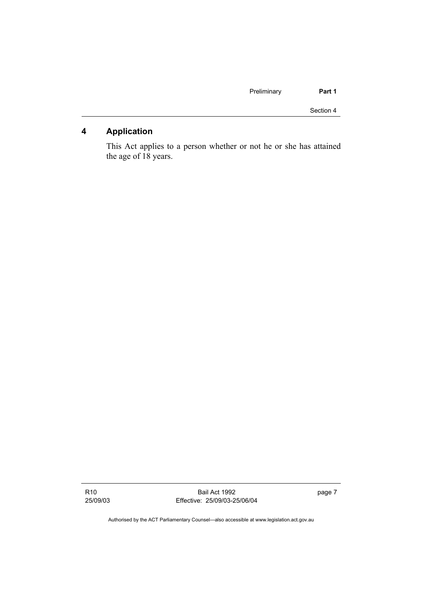| Part 1    | Preliminary |  |
|-----------|-------------|--|
| Section 4 |             |  |

## **4 Application**

This Act applies to a person whether or not he or she has attained the age of 18 years.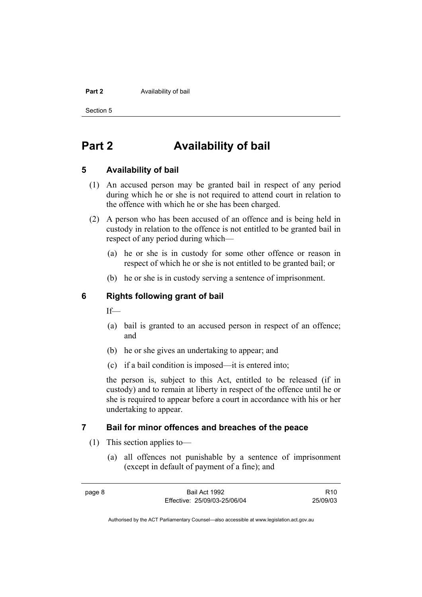#### **Part 2 Availability of bail**

Section 5

# **Part 2 Availability of bail**

## **5 Availability of bail**

- (1) An accused person may be granted bail in respect of any period during which he or she is not required to attend court in relation to the offence with which he or she has been charged.
- (2) A person who has been accused of an offence and is being held in custody in relation to the offence is not entitled to be granted bail in respect of any period during which—
	- (a) he or she is in custody for some other offence or reason in respect of which he or she is not entitled to be granted bail; or
	- (b) he or she is in custody serving a sentence of imprisonment.

## **6 Rights following grant of bail**

If—

- (a) bail is granted to an accused person in respect of an offence; and
- (b) he or she gives an undertaking to appear; and
- (c) if a bail condition is imposed—it is entered into;

the person is, subject to this Act, entitled to be released (if in custody) and to remain at liberty in respect of the offence until he or she is required to appear before a court in accordance with his or her undertaking to appear.

## **7 Bail for minor offences and breaches of the peace**

- (1) This section applies to—
	- (a) all offences not punishable by a sentence of imprisonment (except in default of payment of a fine); and

| page 8 | Bail Act 1992                | R10      |
|--------|------------------------------|----------|
|        | Effective: 25/09/03-25/06/04 | 25/09/03 |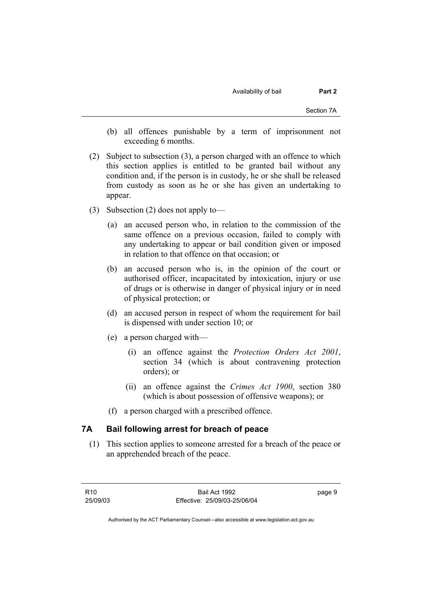- (b) all offences punishable by a term of imprisonment not exceeding 6 months.
- (2) Subject to subsection (3), a person charged with an offence to which this section applies is entitled to be granted bail without any condition and, if the person is in custody, he or she shall be released from custody as soon as he or she has given an undertaking to appear.
- (3) Subsection (2) does not apply to—
	- (a) an accused person who, in relation to the commission of the same offence on a previous occasion, failed to comply with any undertaking to appear or bail condition given or imposed in relation to that offence on that occasion; or
	- (b) an accused person who is, in the opinion of the court or authorised officer, incapacitated by intoxication, injury or use of drugs or is otherwise in danger of physical injury or in need of physical protection; or
	- (d) an accused person in respect of whom the requirement for bail is dispensed with under section 10; or
	- (e) a person charged with—
		- (i) an offence against the *Protection Orders Act 2001*, section 34 (which is about contravening protection orders); or
		- (ii) an offence against the *Crimes Act 1900*, section 380 (which is about possession of offensive weapons); or
	- (f) a person charged with a prescribed offence.

## **7A Bail following arrest for breach of peace**

 (1) This section applies to someone arrested for a breach of the peace or an apprehended breach of the peace.

page 9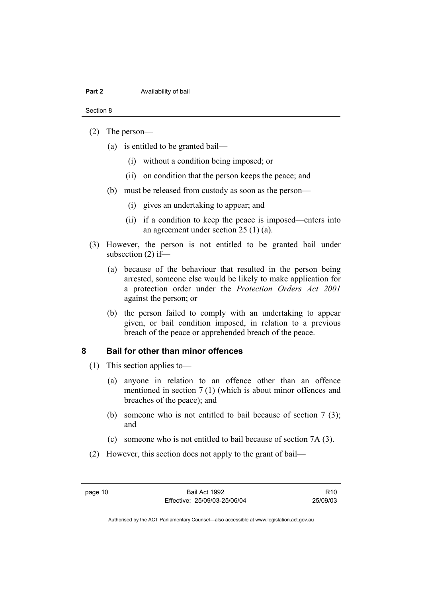#### **Part 2 Availability of bail**

#### Section 8

#### (2) The person—

- (a) is entitled to be granted bail—
	- (i) without a condition being imposed; or
	- (ii) on condition that the person keeps the peace; and
- (b) must be released from custody as soon as the person—
	- (i) gives an undertaking to appear; and
	- (ii) if a condition to keep the peace is imposed—enters into an agreement under section 25 (1) (a).
- (3) However, the person is not entitled to be granted bail under subsection (2) if—
	- (a) because of the behaviour that resulted in the person being arrested, someone else would be likely to make application for a protection order under the *Protection Orders Act 2001* against the person; or
	- (b) the person failed to comply with an undertaking to appear given, or bail condition imposed, in relation to a previous breach of the peace or apprehended breach of the peace.

## **8 Bail for other than minor offences**

- (1) This section applies to—
	- (a) anyone in relation to an offence other than an offence mentioned in section 7 (1) (which is about minor offences and breaches of the peace); and
	- (b) someone who is not entitled to bail because of section 7 (3); and
	- (c) someone who is not entitled to bail because of section 7A (3).
- (2) However, this section does not apply to the grant of bail—

page 10 Bail Act 1992 Effective: 25/09/03-25/06/04

R10 25/09/03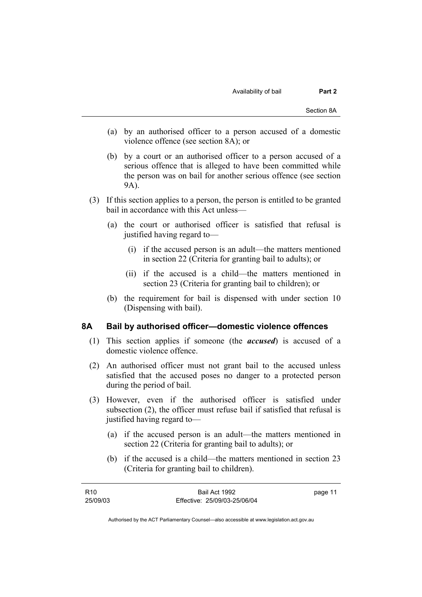- (a) by an authorised officer to a person accused of a domestic violence offence (see section 8A); or
- (b) by a court or an authorised officer to a person accused of a serious offence that is alleged to have been committed while the person was on bail for another serious offence (see section 9A).
- (3) If this section applies to a person, the person is entitled to be granted bail in accordance with this Act unless—
	- (a) the court or authorised officer is satisfied that refusal is justified having regard to—
		- (i) if the accused person is an adult—the matters mentioned in section 22 (Criteria for granting bail to adults); or
		- (ii) if the accused is a child—the matters mentioned in section 23 (Criteria for granting bail to children); or
	- (b) the requirement for bail is dispensed with under section 10 (Dispensing with bail).

#### **8A Bail by authorised officer—domestic violence offences**

- (1) This section applies if someone (the *accused*) is accused of a domestic violence offence.
- (2) An authorised officer must not grant bail to the accused unless satisfied that the accused poses no danger to a protected person during the period of bail.
- (3) However, even if the authorised officer is satisfied under subsection (2), the officer must refuse bail if satisfied that refusal is justified having regard to—
	- (a) if the accused person is an adult—the matters mentioned in section 22 (Criteria for granting bail to adults); or
	- (b) if the accused is a child—the matters mentioned in section 23 (Criteria for granting bail to children).

| R <sub>10</sub> | Bail Act 1992                | page 11 |
|-----------------|------------------------------|---------|
| 25/09/03        | Effective: 25/09/03-25/06/04 |         |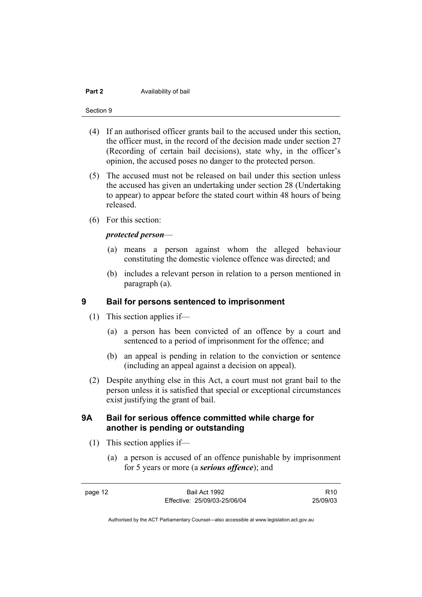#### **Part 2 Availability of bail**

#### Section 9

- (4) If an authorised officer grants bail to the accused under this section, the officer must, in the record of the decision made under section 27 (Recording of certain bail decisions), state why, in the officer's opinion, the accused poses no danger to the protected person.
- (5) The accused must not be released on bail under this section unless the accused has given an undertaking under section 28 (Undertaking to appear) to appear before the stated court within 48 hours of being released.
- (6) For this section:

#### *protected person*—

- (a) means a person against whom the alleged behaviour constituting the domestic violence offence was directed; and
- (b) includes a relevant person in relation to a person mentioned in paragraph (a).

## **9 Bail for persons sentenced to imprisonment**

- (1) This section applies if—
	- (a) a person has been convicted of an offence by a court and sentenced to a period of imprisonment for the offence; and
	- (b) an appeal is pending in relation to the conviction or sentence (including an appeal against a decision on appeal).
- (2) Despite anything else in this Act, a court must not grant bail to the person unless it is satisfied that special or exceptional circumstances exist justifying the grant of bail.

## **9A Bail for serious offence committed while charge for another is pending or outstanding**

- (1) This section applies if—
	- (a) a person is accused of an offence punishable by imprisonment for 5 years or more (a *serious offence*); and

page 12 Bail Act 1992 Effective: 25/09/03-25/06/04 R10 25/09/03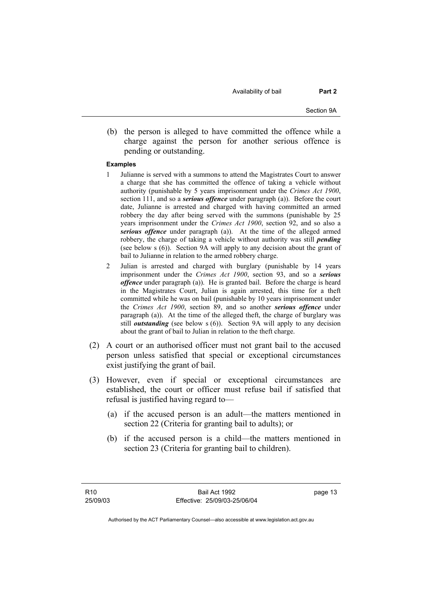Availability of bail **Part 2** 

Section 9A

 (b) the person is alleged to have committed the offence while a charge against the person for another serious offence is pending or outstanding.

#### **Examples**

- 1 Julianne is served with a summons to attend the Magistrates Court to answer a charge that she has committed the offence of taking a vehicle without authority (punishable by 5 years imprisonment under the *Crimes Act 1900*, section 111, and so a *serious offence* under paragraph (a)). Before the court date, Julianne is arrested and charged with having committed an armed robbery the day after being served with the summons (punishable by 25 years imprisonment under the *Crimes Act 1900*, section 92, and so also a *serious offence* under paragraph (a)). At the time of the alleged armed robbery, the charge of taking a vehicle without authority was still *pending* (see below s (6)). Section 9A will apply to any decision about the grant of bail to Julianne in relation to the armed robbery charge.
- 2 Julian is arrested and charged with burglary (punishable by 14 years imprisonment under the *Crimes Act 1900*, section 93, and so a *serious offence* under paragraph (a)). He is granted bail. Before the charge is heard in the Magistrates Court, Julian is again arrested, this time for a theft committed while he was on bail (punishable by 10 years imprisonment under the *Crimes Act 1900*, section 89, and so another *serious offence* under paragraph (a)). At the time of the alleged theft, the charge of burglary was still *outstanding* (see below s (6)). Section 9A will apply to any decision about the grant of bail to Julian in relation to the theft charge.
- (2) A court or an authorised officer must not grant bail to the accused person unless satisfied that special or exceptional circumstances exist justifying the grant of bail.
- (3) However, even if special or exceptional circumstances are established, the court or officer must refuse bail if satisfied that refusal is justified having regard to—
	- (a) if the accused person is an adult—the matters mentioned in section 22 (Criteria for granting bail to adults); or
	- (b) if the accused person is a child—the matters mentioned in section 23 (Criteria for granting bail to children).

page 13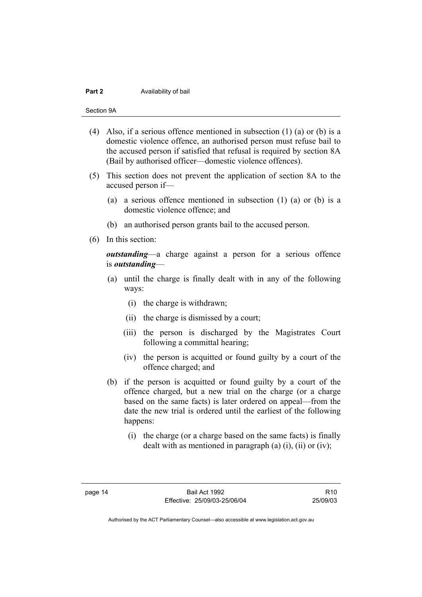#### **Part 2 Availability of bail**

Section 9A

- (4) Also, if a serious offence mentioned in subsection (1) (a) or (b) is a domestic violence offence, an authorised person must refuse bail to the accused person if satisfied that refusal is required by section 8A (Bail by authorised officer—domestic violence offences).
- (5) This section does not prevent the application of section 8A to the accused person if—
	- (a) a serious offence mentioned in subsection (1) (a) or (b) is a domestic violence offence; and
	- (b) an authorised person grants bail to the accused person.
- (6) In this section:

*outstanding*—a charge against a person for a serious offence is *outstanding*—

- (a) until the charge is finally dealt with in any of the following ways:
	- (i) the charge is withdrawn;
	- (ii) the charge is dismissed by a court;
	- (iii) the person is discharged by the Magistrates Court following a committal hearing;
	- (iv) the person is acquitted or found guilty by a court of the offence charged; and
- (b) if the person is acquitted or found guilty by a court of the offence charged, but a new trial on the charge (or a charge based on the same facts) is later ordered on appeal—from the date the new trial is ordered until the earliest of the following happens:
	- (i) the charge (or a charge based on the same facts) is finally dealt with as mentioned in paragraph (a)  $(i)$ ,  $(ii)$  or  $(iv)$ ;

R10 25/09/03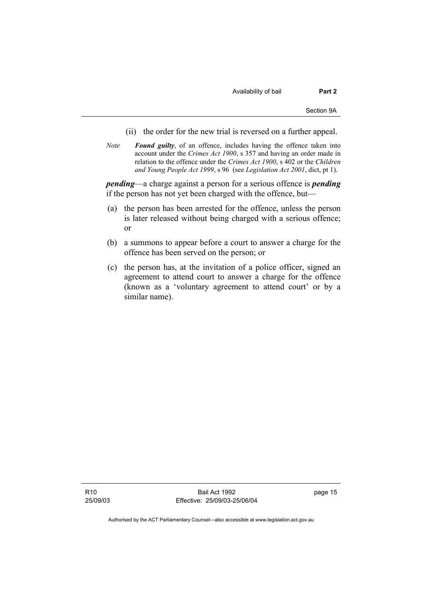Availability of bail **Part 2** 

- (ii) the order for the new trial is reversed on a further appeal.
- *Note Found guilty*, of an offence, includes having the offence taken into account under the *Crimes Act 1900*, s 357 and having an order made in relation to the offence under the *Crimes Act 1900*, s 402 or the *Children and Young People Act 1999*, s 96 (see *Legislation Act 2001*, dict, pt 1).

*pending*—a charge against a person for a serious offence is *pending* if the person has not yet been charged with the offence, but—

- (a) the person has been arrested for the offence, unless the person is later released without being charged with a serious offence; or
- (b) a summons to appear before a court to answer a charge for the offence has been served on the person; or
- (c) the person has, at the invitation of a police officer, signed an agreement to attend court to answer a charge for the offence (known as a 'voluntary agreement to attend court' or by a similar name).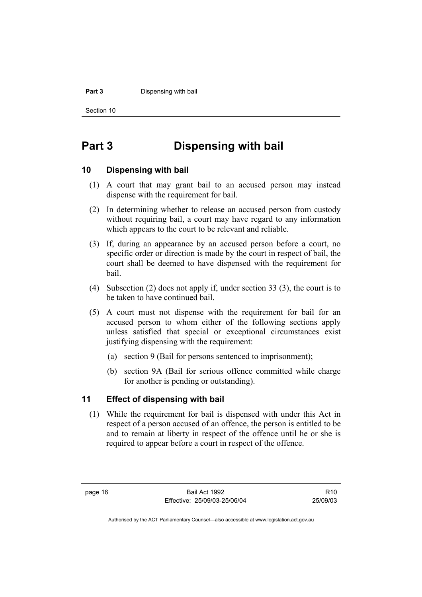#### **Part 3 Dispensing with bail**

Section 10

# **Part 3 Dispensing with bail**

## **10 Dispensing with bail**

- (1) A court that may grant bail to an accused person may instead dispense with the requirement for bail.
- (2) In determining whether to release an accused person from custody without requiring bail, a court may have regard to any information which appears to the court to be relevant and reliable.
- (3) If, during an appearance by an accused person before a court, no specific order or direction is made by the court in respect of bail, the court shall be deemed to have dispensed with the requirement for bail.
- (4) Subsection (2) does not apply if, under section 33 (3), the court is to be taken to have continued bail.
- (5) A court must not dispense with the requirement for bail for an accused person to whom either of the following sections apply unless satisfied that special or exceptional circumstances exist justifying dispensing with the requirement:
	- (a) section 9 (Bail for persons sentenced to imprisonment);
	- (b) section 9A (Bail for serious offence committed while charge for another is pending or outstanding).

### **11 Effect of dispensing with bail**

 (1) While the requirement for bail is dispensed with under this Act in respect of a person accused of an offence, the person is entitled to be and to remain at liberty in respect of the offence until he or she is required to appear before a court in respect of the offence.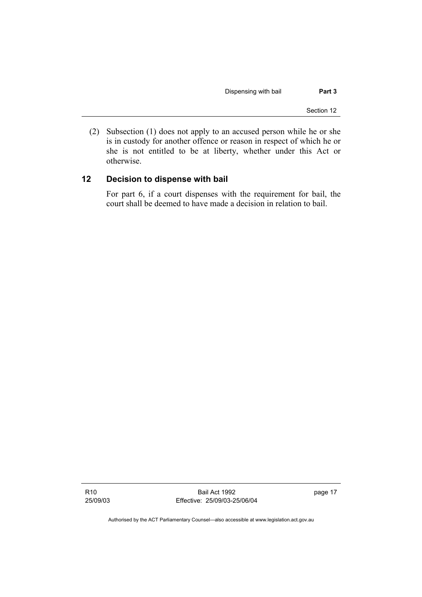Dispensing with bail **Part 3** 

Section 12

 (2) Subsection (1) does not apply to an accused person while he or she is in custody for another offence or reason in respect of which he or she is not entitled to be at liberty, whether under this Act or otherwise.

## **12 Decision to dispense with bail**

For part 6, if a court dispenses with the requirement for bail, the court shall be deemed to have made a decision in relation to bail.

R10 25/09/03

Bail Act 1992 Effective: 25/09/03-25/06/04 page 17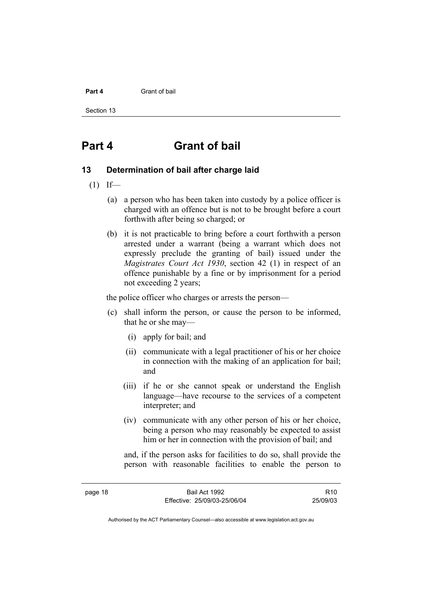#### **Part 4** Grant of bail

Section 13

## **Part 4 Grant of bail**

#### **13 Determination of bail after charge laid**

- $(1)$  If—
	- (a) a person who has been taken into custody by a police officer is charged with an offence but is not to be brought before a court forthwith after being so charged; or
	- (b) it is not practicable to bring before a court forthwith a person arrested under a warrant (being a warrant which does not expressly preclude the granting of bail) issued under the *Magistrates Court Act 1930*, section 42 (1) in respect of an offence punishable by a fine or by imprisonment for a period not exceeding 2 years;

the police officer who charges or arrests the person—

- (c) shall inform the person, or cause the person to be informed, that he or she may—
	- (i) apply for bail; and
	- (ii) communicate with a legal practitioner of his or her choice in connection with the making of an application for bail; and
	- (iii) if he or she cannot speak or understand the English language—have recourse to the services of a competent interpreter; and
	- (iv) communicate with any other person of his or her choice, being a person who may reasonably be expected to assist him or her in connection with the provision of bail; and

and, if the person asks for facilities to do so, shall provide the person with reasonable facilities to enable the person to

page 18 Bail Act 1992 Effective: 25/09/03-25/06/04

R10 25/09/03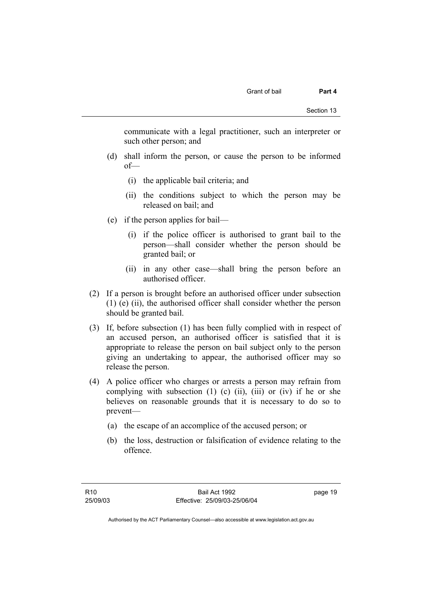communicate with a legal practitioner, such an interpreter or such other person; and

- (d) shall inform the person, or cause the person to be informed of—
	- (i) the applicable bail criteria; and
	- (ii) the conditions subject to which the person may be released on bail; and
- (e) if the person applies for bail—
	- (i) if the police officer is authorised to grant bail to the person—shall consider whether the person should be granted bail; or
	- (ii) in any other case—shall bring the person before an authorised officer.
- (2) If a person is brought before an authorised officer under subsection (1) (e) (ii), the authorised officer shall consider whether the person should be granted bail.
- (3) If, before subsection (1) has been fully complied with in respect of an accused person, an authorised officer is satisfied that it is appropriate to release the person on bail subject only to the person giving an undertaking to appear, the authorised officer may so release the person.
- (4) A police officer who charges or arrests a person may refrain from complying with subsection  $(1)$   $(c)$   $(ii)$ ,  $(iii)$  or  $(iv)$  if he or she believes on reasonable grounds that it is necessary to do so to prevent—
	- (a) the escape of an accomplice of the accused person; or
	- (b) the loss, destruction or falsification of evidence relating to the offence.

page 19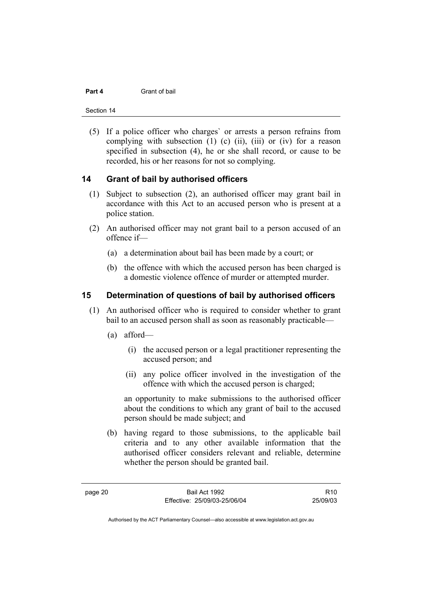#### **Part 4** Grant of bail

Section 14

 (5) If a police officer who charges` or arrests a person refrains from complying with subsection  $(1)$   $(c)$   $(ii)$ ,  $(iii)$  or  $(iv)$  for a reason specified in subsection (4), he or she shall record, or cause to be recorded, his or her reasons for not so complying.

## **14 Grant of bail by authorised officers**

- (1) Subject to subsection (2), an authorised officer may grant bail in accordance with this Act to an accused person who is present at a police station.
- (2) An authorised officer may not grant bail to a person accused of an offence if—
	- (a) a determination about bail has been made by a court; or
	- (b) the offence with which the accused person has been charged is a domestic violence offence of murder or attempted murder.

## **15 Determination of questions of bail by authorised officers**

- (1) An authorised officer who is required to consider whether to grant bail to an accused person shall as soon as reasonably practicable—
	- (a) afford—
		- (i) the accused person or a legal practitioner representing the accused person; and
		- (ii) any police officer involved in the investigation of the offence with which the accused person is charged;

an opportunity to make submissions to the authorised officer about the conditions to which any grant of bail to the accused person should be made subject; and

 (b) having regard to those submissions, to the applicable bail criteria and to any other available information that the authorised officer considers relevant and reliable, determine whether the person should be granted bail.

R10 25/09/03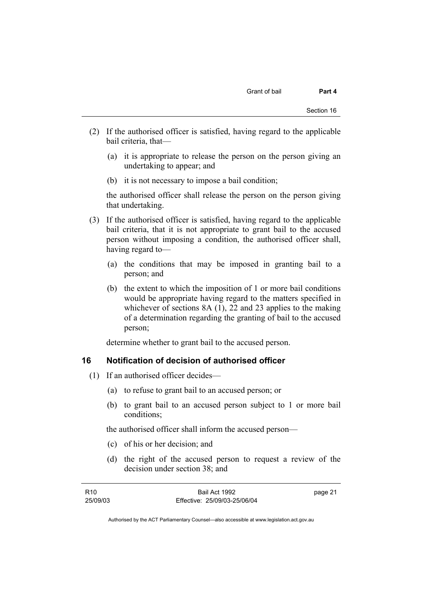- (2) If the authorised officer is satisfied, having regard to the applicable bail criteria, that—
	- (a) it is appropriate to release the person on the person giving an undertaking to appear; and
	- (b) it is not necessary to impose a bail condition;

the authorised officer shall release the person on the person giving that undertaking.

- (3) If the authorised officer is satisfied, having regard to the applicable bail criteria, that it is not appropriate to grant bail to the accused person without imposing a condition, the authorised officer shall, having regard to—
	- (a) the conditions that may be imposed in granting bail to a person; and
	- (b) the extent to which the imposition of 1 or more bail conditions would be appropriate having regard to the matters specified in whichever of sections 8A (1), 22 and 23 applies to the making of a determination regarding the granting of bail to the accused person;

determine whether to grant bail to the accused person.

## **16 Notification of decision of authorised officer**

- (1) If an authorised officer decides—
	- (a) to refuse to grant bail to an accused person; or
	- (b) to grant bail to an accused person subject to 1 or more bail conditions;

the authorised officer shall inform the accused person—

- (c) of his or her decision; and
- (d) the right of the accused person to request a review of the decision under section 38; and

| R10      | Bail Act 1992                | page 21 |
|----------|------------------------------|---------|
| 25/09/03 | Effective: 25/09/03-25/06/04 |         |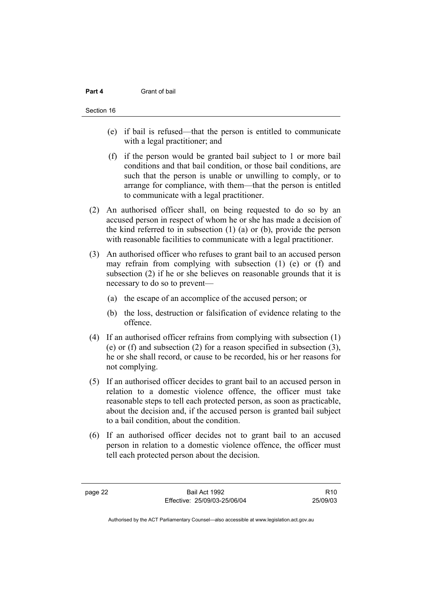#### **Part 4** Grant of bail

#### Section 16

- (e) if bail is refused—that the person is entitled to communicate with a legal practitioner; and
- (f) if the person would be granted bail subject to 1 or more bail conditions and that bail condition, or those bail conditions, are such that the person is unable or unwilling to comply, or to arrange for compliance, with them—that the person is entitled to communicate with a legal practitioner.
- (2) An authorised officer shall, on being requested to do so by an accused person in respect of whom he or she has made a decision of the kind referred to in subsection (1) (a) or (b), provide the person with reasonable facilities to communicate with a legal practitioner.
- (3) An authorised officer who refuses to grant bail to an accused person may refrain from complying with subsection (1) (e) or (f) and subsection (2) if he or she believes on reasonable grounds that it is necessary to do so to prevent—
	- (a) the escape of an accomplice of the accused person; or
	- (b) the loss, destruction or falsification of evidence relating to the offence.
- (4) If an authorised officer refrains from complying with subsection (1) (e) or (f) and subsection (2) for a reason specified in subsection (3), he or she shall record, or cause to be recorded, his or her reasons for not complying.
- (5) If an authorised officer decides to grant bail to an accused person in relation to a domestic violence offence, the officer must take reasonable steps to tell each protected person, as soon as practicable, about the decision and, if the accused person is granted bail subject to a bail condition, about the condition.
- (6) If an authorised officer decides not to grant bail to an accused person in relation to a domestic violence offence, the officer must tell each protected person about the decision.

page 22 Bail Act 1992 Effective: 25/09/03-25/06/04

R10 25/09/03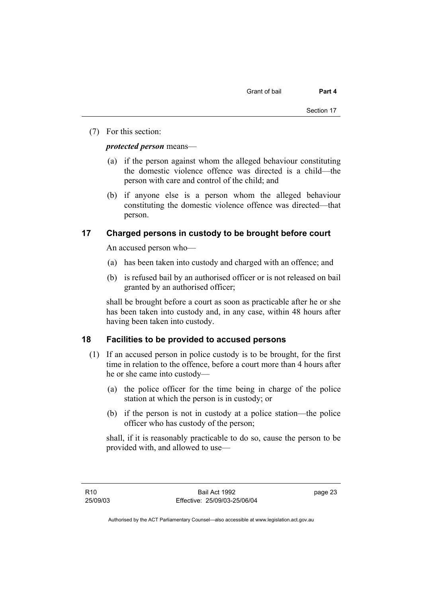(7) For this section:

*protected person* means—

- (a) if the person against whom the alleged behaviour constituting the domestic violence offence was directed is a child—the person with care and control of the child; and
- (b) if anyone else is a person whom the alleged behaviour constituting the domestic violence offence was directed—that person.

## **17 Charged persons in custody to be brought before court**

An accused person who—

- (a) has been taken into custody and charged with an offence; and
- (b) is refused bail by an authorised officer or is not released on bail granted by an authorised officer;

shall be brought before a court as soon as practicable after he or she has been taken into custody and, in any case, within 48 hours after having been taken into custody.

## **18 Facilities to be provided to accused persons**

- (1) If an accused person in police custody is to be brought, for the first time in relation to the offence, before a court more than 4 hours after he or she came into custody—
	- (a) the police officer for the time being in charge of the police station at which the person is in custody; or
	- (b) if the person is not in custody at a police station—the police officer who has custody of the person;

shall, if it is reasonably practicable to do so, cause the person to be provided with, and allowed to use—

page 23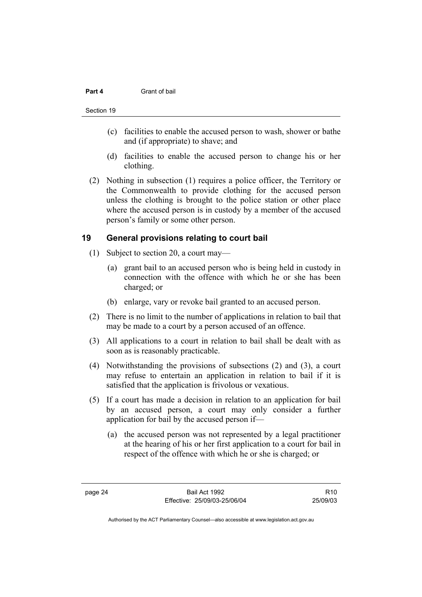#### **Part 4** Grant of bail

- (c) facilities to enable the accused person to wash, shower or bathe and (if appropriate) to shave; and
- (d) facilities to enable the accused person to change his or her clothing.
- (2) Nothing in subsection (1) requires a police officer, the Territory or the Commonwealth to provide clothing for the accused person unless the clothing is brought to the police station or other place where the accused person is in custody by a member of the accused person's family or some other person.

## **19 General provisions relating to court bail**

- (1) Subject to section 20, a court may—
	- (a) grant bail to an accused person who is being held in custody in connection with the offence with which he or she has been charged; or
	- (b) enlarge, vary or revoke bail granted to an accused person.
- (2) There is no limit to the number of applications in relation to bail that may be made to a court by a person accused of an offence.
- (3) All applications to a court in relation to bail shall be dealt with as soon as is reasonably practicable.
- (4) Notwithstanding the provisions of subsections (2) and (3), a court may refuse to entertain an application in relation to bail if it is satisfied that the application is frivolous or vexatious.
- (5) If a court has made a decision in relation to an application for bail by an accused person, a court may only consider a further application for bail by the accused person if—
	- (a) the accused person was not represented by a legal practitioner at the hearing of his or her first application to a court for bail in respect of the offence with which he or she is charged; or

R10 25/09/03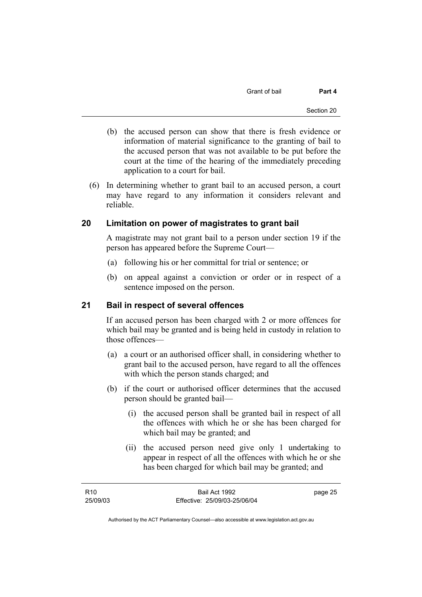Grant of bail **Part 4** 

- (b) the accused person can show that there is fresh evidence or information of material significance to the granting of bail to the accused person that was not available to be put before the court at the time of the hearing of the immediately preceding application to a court for bail.
- (6) In determining whether to grant bail to an accused person, a court may have regard to any information it considers relevant and reliable.

## **20 Limitation on power of magistrates to grant bail**

A magistrate may not grant bail to a person under section 19 if the person has appeared before the Supreme Court—

- (a) following his or her committal for trial or sentence; or
- (b) on appeal against a conviction or order or in respect of a sentence imposed on the person.

## **21 Bail in respect of several offences**

If an accused person has been charged with 2 or more offences for which bail may be granted and is being held in custody in relation to those offences—

- (a) a court or an authorised officer shall, in considering whether to grant bail to the accused person, have regard to all the offences with which the person stands charged; and
- (b) if the court or authorised officer determines that the accused person should be granted bail—
	- (i) the accused person shall be granted bail in respect of all the offences with which he or she has been charged for which bail may be granted; and
	- (ii) the accused person need give only 1 undertaking to appear in respect of all the offences with which he or she has been charged for which bail may be granted; and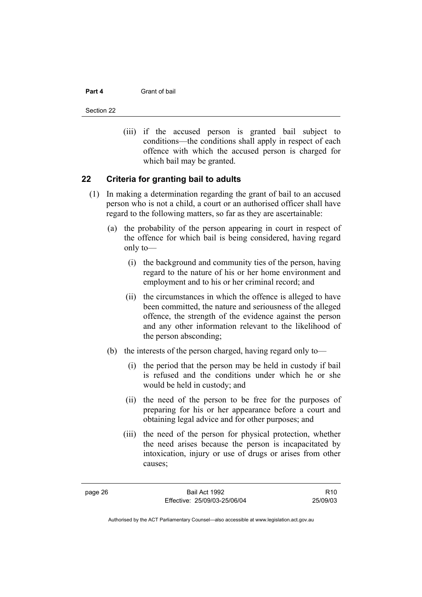#### **Part 4** Grant of bail

Section 22

 (iii) if the accused person is granted bail subject to conditions—the conditions shall apply in respect of each offence with which the accused person is charged for which bail may be granted.

## **22 Criteria for granting bail to adults**

- (1) In making a determination regarding the grant of bail to an accused person who is not a child, a court or an authorised officer shall have regard to the following matters, so far as they are ascertainable:
	- (a) the probability of the person appearing in court in respect of the offence for which bail is being considered, having regard only to—
		- (i) the background and community ties of the person, having regard to the nature of his or her home environment and employment and to his or her criminal record; and
		- (ii) the circumstances in which the offence is alleged to have been committed, the nature and seriousness of the alleged offence, the strength of the evidence against the person and any other information relevant to the likelihood of the person absconding;
	- (b) the interests of the person charged, having regard only to—
		- (i) the period that the person may be held in custody if bail is refused and the conditions under which he or she would be held in custody; and
		- (ii) the need of the person to be free for the purposes of preparing for his or her appearance before a court and obtaining legal advice and for other purposes; and
		- (iii) the need of the person for physical protection, whether the need arises because the person is incapacitated by intoxication, injury or use of drugs or arises from other causes;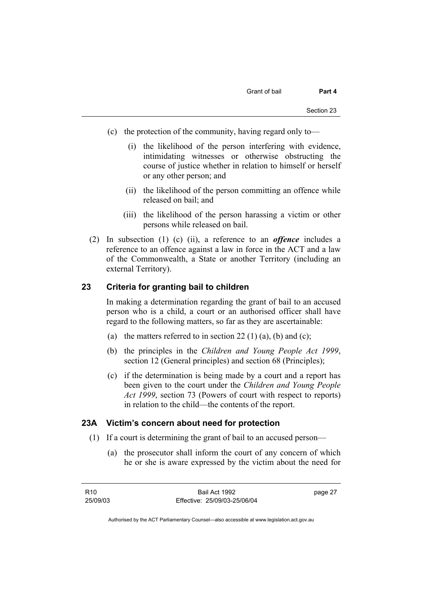- (c) the protection of the community, having regard only to—
	- (i) the likelihood of the person interfering with evidence, intimidating witnesses or otherwise obstructing the course of justice whether in relation to himself or herself or any other person; and
	- (ii) the likelihood of the person committing an offence while released on bail; and
	- (iii) the likelihood of the person harassing a victim or other persons while released on bail.
- (2) In subsection (1) (c) (ii), a reference to an *offence* includes a reference to an offence against a law in force in the ACT and a law of the Commonwealth, a State or another Territory (including an external Territory).

## **23 Criteria for granting bail to children**

In making a determination regarding the grant of bail to an accused person who is a child, a court or an authorised officer shall have regard to the following matters, so far as they are ascertainable:

- (a) the matters referred to in section 22 (1) (a), (b) and (c);
- (b) the principles in the *Children and Young People Act 1999*, section 12 (General principles) and section 68 (Principles);
- (c) if the determination is being made by a court and a report has been given to the court under the *Children and Young People Act 1999*, section 73 (Powers of court with respect to reports) in relation to the child—the contents of the report.

## **23A Victim's concern about need for protection**

- (1) If a court is determining the grant of bail to an accused person—
	- (a) the prosecutor shall inform the court of any concern of which he or she is aware expressed by the victim about the need for

| R10      | Bail Act 1992                | page 27 |
|----------|------------------------------|---------|
| 25/09/03 | Effective: 25/09/03-25/06/04 |         |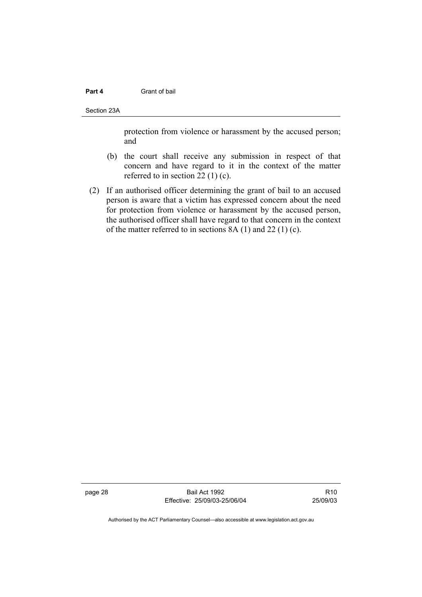#### **Part 4 Grant of bail**

Section 23A

protection from violence or harassment by the accused person; and

- (b) the court shall receive any submission in respect of that concern and have regard to it in the context of the matter referred to in section 22 (1) (c).
- (2) If an authorised officer determining the grant of bail to an accused person is aware that a victim has expressed concern about the need for protection from violence or harassment by the accused person, the authorised officer shall have regard to that concern in the context of the matter referred to in sections 8A (1) and 22 (1) (c).

page 28 Bail Act 1992 Effective: 25/09/03-25/06/04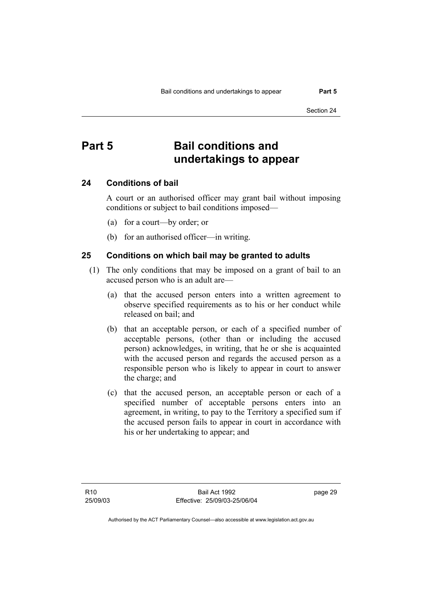# **Part 5 Bail conditions and undertakings to appear**

## **24 Conditions of bail**

A court or an authorised officer may grant bail without imposing conditions or subject to bail conditions imposed—

- (a) for a court—by order; or
- (b) for an authorised officer—in writing.

## **25 Conditions on which bail may be granted to adults**

- (1) The only conditions that may be imposed on a grant of bail to an accused person who is an adult are—
	- (a) that the accused person enters into a written agreement to observe specified requirements as to his or her conduct while released on bail; and
	- (b) that an acceptable person, or each of a specified number of acceptable persons, (other than or including the accused person) acknowledges, in writing, that he or she is acquainted with the accused person and regards the accused person as a responsible person who is likely to appear in court to answer the charge; and
	- (c) that the accused person, an acceptable person or each of a specified number of acceptable persons enters into an agreement, in writing, to pay to the Territory a specified sum if the accused person fails to appear in court in accordance with his or her undertaking to appear; and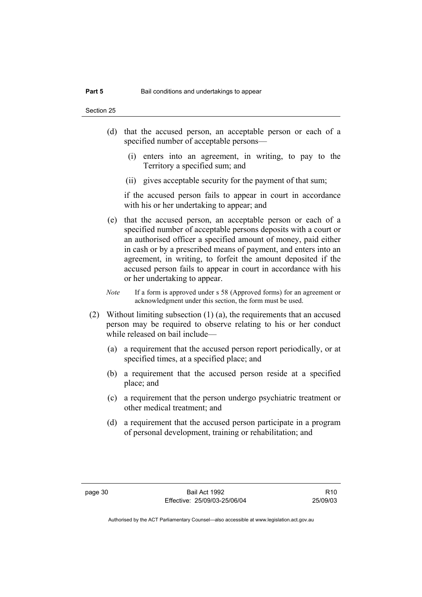- (d) that the accused person, an acceptable person or each of a specified number of acceptable persons—
	- (i) enters into an agreement, in writing, to pay to the Territory a specified sum; and
	- (ii) gives acceptable security for the payment of that sum;

if the accused person fails to appear in court in accordance with his or her undertaking to appear; and

- (e) that the accused person, an acceptable person or each of a specified number of acceptable persons deposits with a court or an authorised officer a specified amount of money, paid either in cash or by a prescribed means of payment, and enters into an agreement, in writing, to forfeit the amount deposited if the accused person fails to appear in court in accordance with his or her undertaking to appear.
- *Note* If a form is approved under s 58 (Approved forms) for an agreement or acknowledgment under this section, the form must be used.
- (2) Without limiting subsection (1) (a), the requirements that an accused person may be required to observe relating to his or her conduct while released on bail include—
	- (a) a requirement that the accused person report periodically, or at specified times, at a specified place; and
	- (b) a requirement that the accused person reside at a specified place; and
	- (c) a requirement that the person undergo psychiatric treatment or other medical treatment; and
	- (d) a requirement that the accused person participate in a program of personal development, training or rehabilitation; and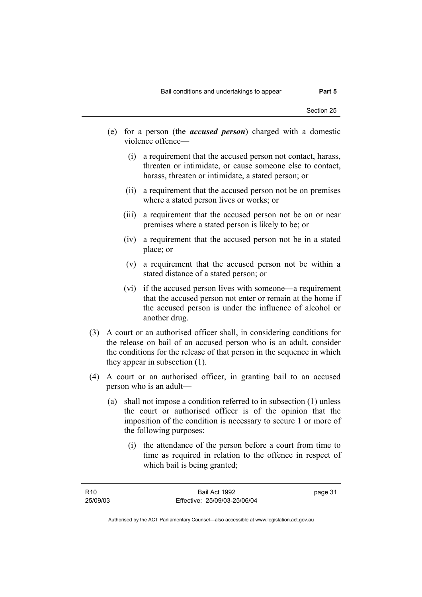- (e) for a person (the *accused person*) charged with a domestic violence offence—
	- (i) a requirement that the accused person not contact, harass, threaten or intimidate, or cause someone else to contact, harass, threaten or intimidate, a stated person; or
	- (ii) a requirement that the accused person not be on premises where a stated person lives or works; or
	- (iii) a requirement that the accused person not be on or near premises where a stated person is likely to be; or
	- (iv) a requirement that the accused person not be in a stated place; or
	- (v) a requirement that the accused person not be within a stated distance of a stated person; or
	- (vi) if the accused person lives with someone—a requirement that the accused person not enter or remain at the home if the accused person is under the influence of alcohol or another drug.
- (3) A court or an authorised officer shall, in considering conditions for the release on bail of an accused person who is an adult, consider the conditions for the release of that person in the sequence in which they appear in subsection (1).
- (4) A court or an authorised officer, in granting bail to an accused person who is an adult—
	- (a) shall not impose a condition referred to in subsection (1) unless the court or authorised officer is of the opinion that the imposition of the condition is necessary to secure 1 or more of the following purposes:
		- (i) the attendance of the person before a court from time to time as required in relation to the offence in respect of which bail is being granted;

| R10      | Bail Act 1992                | page 31 |
|----------|------------------------------|---------|
| 25/09/03 | Effective: 25/09/03-25/06/04 |         |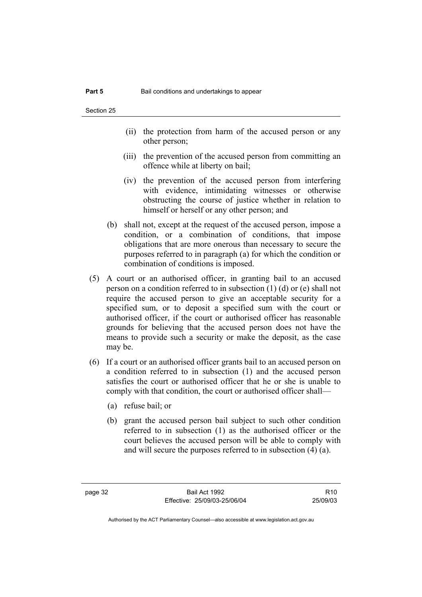- (ii) the protection from harm of the accused person or any other person;
- (iii) the prevention of the accused person from committing an offence while at liberty on bail;
- (iv) the prevention of the accused person from interfering with evidence, intimidating witnesses or otherwise obstructing the course of justice whether in relation to himself or herself or any other person; and
- (b) shall not, except at the request of the accused person, impose a condition, or a combination of conditions, that impose obligations that are more onerous than necessary to secure the purposes referred to in paragraph (a) for which the condition or combination of conditions is imposed.
- (5) A court or an authorised officer, in granting bail to an accused person on a condition referred to in subsection (1) (d) or (e) shall not require the accused person to give an acceptable security for a specified sum, or to deposit a specified sum with the court or authorised officer, if the court or authorised officer has reasonable grounds for believing that the accused person does not have the means to provide such a security or make the deposit, as the case may be.
- (6) If a court or an authorised officer grants bail to an accused person on a condition referred to in subsection (1) and the accused person satisfies the court or authorised officer that he or she is unable to comply with that condition, the court or authorised officer shall—
	- (a) refuse bail; or
	- (b) grant the accused person bail subject to such other condition referred to in subsection (1) as the authorised officer or the court believes the accused person will be able to comply with and will secure the purposes referred to in subsection (4) (a).

R10 25/09/03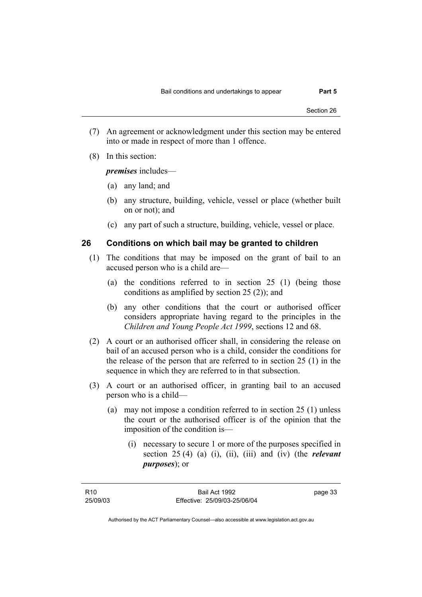- (7) An agreement or acknowledgment under this section may be entered into or made in respect of more than 1 offence.
- (8) In this section:

*premises* includes—

- (a) any land; and
- (b) any structure, building, vehicle, vessel or place (whether built on or not); and
- (c) any part of such a structure, building, vehicle, vessel or place.

### **26 Conditions on which bail may be granted to children**

- (1) The conditions that may be imposed on the grant of bail to an accused person who is a child are—
	- (a) the conditions referred to in section 25 (1) (being those conditions as amplified by section 25 (2)); and
	- (b) any other conditions that the court or authorised officer considers appropriate having regard to the principles in the *Children and Young People Act 1999*, sections 12 and 68.
- (2) A court or an authorised officer shall, in considering the release on bail of an accused person who is a child, consider the conditions for the release of the person that are referred to in section 25 (1) in the sequence in which they are referred to in that subsection.
- (3) A court or an authorised officer, in granting bail to an accused person who is a child—
	- (a) may not impose a condition referred to in section 25 (1) unless the court or the authorised officer is of the opinion that the imposition of the condition is—
		- (i) necessary to secure 1 or more of the purposes specified in section 25 (4) (a) (i), (ii), (iii) and (iv) (the *relevant purposes*); or

| R10      | Bail Act 1992                | page 33 |
|----------|------------------------------|---------|
| 25/09/03 | Effective: 25/09/03-25/06/04 |         |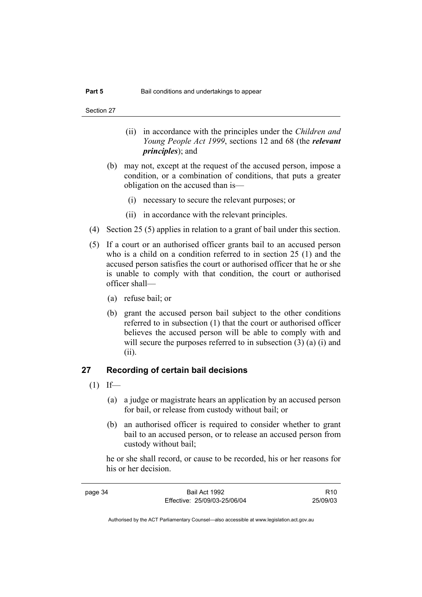- (ii) in accordance with the principles under the *Children and Young People Act 1999*, sections 12 and 68 (the *relevant principles*); and
- (b) may not, except at the request of the accused person, impose a condition, or a combination of conditions, that puts a greater obligation on the accused than is—
	- (i) necessary to secure the relevant purposes; or
	- (ii) in accordance with the relevant principles.
- (4) Section 25 (5) applies in relation to a grant of bail under this section.
- (5) If a court or an authorised officer grants bail to an accused person who is a child on a condition referred to in section 25 (1) and the accused person satisfies the court or authorised officer that he or she is unable to comply with that condition, the court or authorised officer shall—
	- (a) refuse bail; or
	- (b) grant the accused person bail subject to the other conditions referred to in subsection (1) that the court or authorised officer believes the accused person will be able to comply with and will secure the purposes referred to in subsection (3) (a) (i) and (ii).

## **27 Recording of certain bail decisions**

- $(1)$  If—
	- (a) a judge or magistrate hears an application by an accused person for bail, or release from custody without bail; or
	- (b) an authorised officer is required to consider whether to grant bail to an accused person, or to release an accused person from custody without bail;

he or she shall record, or cause to be recorded, his or her reasons for his or her decision.

| page 34 | Bail Act 1992                | R <sub>10</sub> |
|---------|------------------------------|-----------------|
|         | Effective: 25/09/03-25/06/04 | 25/09/03        |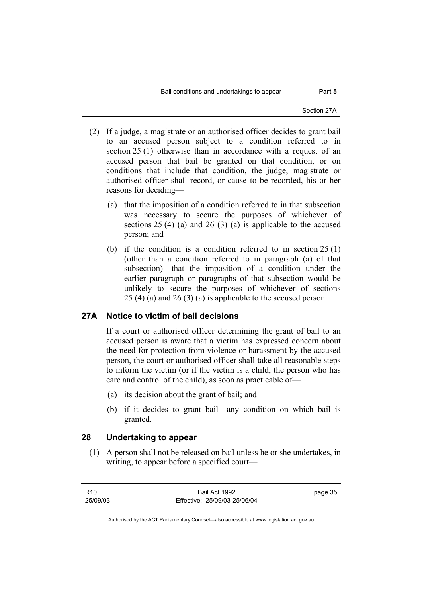- (2) If a judge, a magistrate or an authorised officer decides to grant bail to an accused person subject to a condition referred to in section 25 (1) otherwise than in accordance with a request of an accused person that bail be granted on that condition, or on conditions that include that condition, the judge, magistrate or authorised officer shall record, or cause to be recorded, his or her reasons for deciding—
	- (a) that the imposition of a condition referred to in that subsection was necessary to secure the purposes of whichever of sections 25 (4) (a) and 26 (3) (a) is applicable to the accused person; and
	- (b) if the condition is a condition referred to in section 25 (1) (other than a condition referred to in paragraph (a) of that subsection)—that the imposition of a condition under the earlier paragraph or paragraphs of that subsection would be unlikely to secure the purposes of whichever of sections 25 (4) (a) and 26 (3) (a) is applicable to the accused person.

## **27A Notice to victim of bail decisions**

If a court or authorised officer determining the grant of bail to an accused person is aware that a victim has expressed concern about the need for protection from violence or harassment by the accused person, the court or authorised officer shall take all reasonable steps to inform the victim (or if the victim is a child, the person who has care and control of the child), as soon as practicable of—

- (a) its decision about the grant of bail; and
- (b) if it decides to grant bail—any condition on which bail is granted.

## **28 Undertaking to appear**

 (1) A person shall not be released on bail unless he or she undertakes, in writing, to appear before a specified court—

| R10      | Bail Act 1992                | page 35 |
|----------|------------------------------|---------|
| 25/09/03 | Effective: 25/09/03-25/06/04 |         |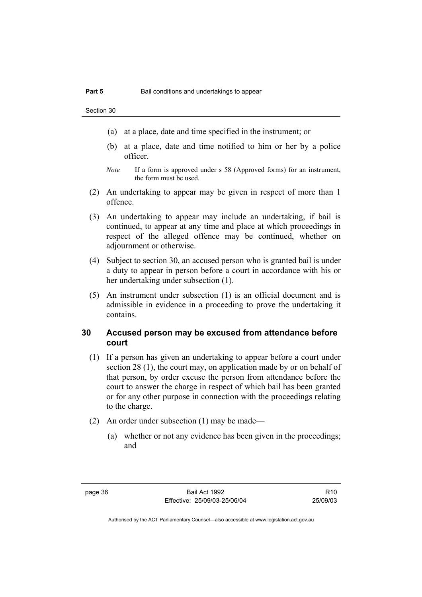- (a) at a place, date and time specified in the instrument; or
- (b) at a place, date and time notified to him or her by a police officer.
- *Note* If a form is approved under s 58 (Approved forms) for an instrument, the form must be used.
- (2) An undertaking to appear may be given in respect of more than 1 offence.
- (3) An undertaking to appear may include an undertaking, if bail is continued, to appear at any time and place at which proceedings in respect of the alleged offence may be continued, whether on adjournment or otherwise.
- (4) Subject to section 30, an accused person who is granted bail is under a duty to appear in person before a court in accordance with his or her undertaking under subsection (1).
- (5) An instrument under subsection (1) is an official document and is admissible in evidence in a proceeding to prove the undertaking it contains.

## **30 Accused person may be excused from attendance before court**

- (1) If a person has given an undertaking to appear before a court under section 28 (1), the court may, on application made by or on behalf of that person, by order excuse the person from attendance before the court to answer the charge in respect of which bail has been granted or for any other purpose in connection with the proceedings relating to the charge.
- (2) An order under subsection (1) may be made—
	- (a) whether or not any evidence has been given in the proceedings; and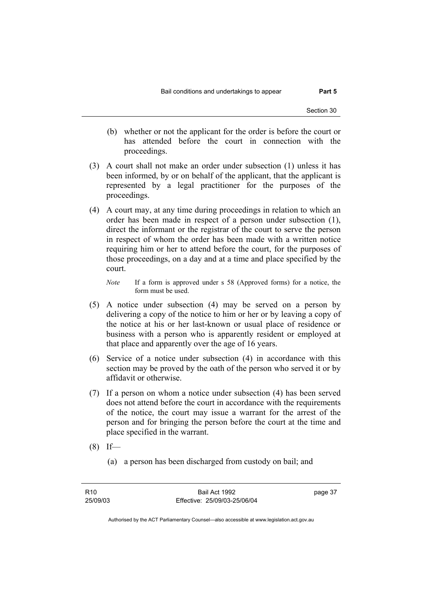- (b) whether or not the applicant for the order is before the court or has attended before the court in connection with the proceedings.
- (3) A court shall not make an order under subsection (1) unless it has been informed, by or on behalf of the applicant, that the applicant is represented by a legal practitioner for the purposes of the proceedings.
- (4) A court may, at any time during proceedings in relation to which an order has been made in respect of a person under subsection (1), direct the informant or the registrar of the court to serve the person in respect of whom the order has been made with a written notice requiring him or her to attend before the court, for the purposes of those proceedings, on a day and at a time and place specified by the court.
	- *Note* If a form is approved under s 58 (Approved forms) for a notice, the form must be used.
- (5) A notice under subsection (4) may be served on a person by delivering a copy of the notice to him or her or by leaving a copy of the notice at his or her last-known or usual place of residence or business with a person who is apparently resident or employed at that place and apparently over the age of 16 years.
- (6) Service of a notice under subsection (4) in accordance with this section may be proved by the oath of the person who served it or by affidavit or otherwise.
- (7) If a person on whom a notice under subsection (4) has been served does not attend before the court in accordance with the requirements of the notice, the court may issue a warrant for the arrest of the person and for bringing the person before the court at the time and place specified in the warrant.
- $(8)$  If—
	- (a) a person has been discharged from custody on bail; and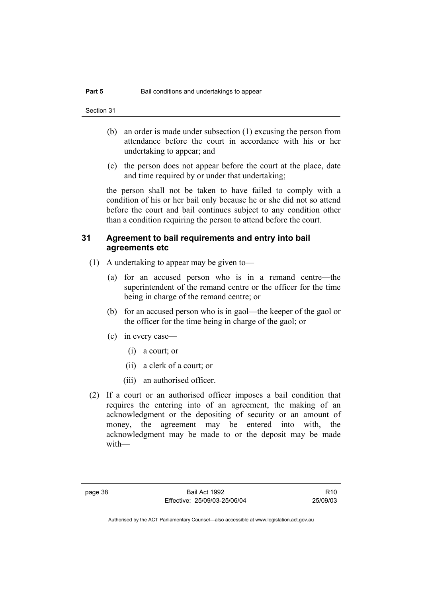- (b) an order is made under subsection (1) excusing the person from attendance before the court in accordance with his or her undertaking to appear; and
- (c) the person does not appear before the court at the place, date and time required by or under that undertaking;

the person shall not be taken to have failed to comply with a condition of his or her bail only because he or she did not so attend before the court and bail continues subject to any condition other than a condition requiring the person to attend before the court.

## **31 Agreement to bail requirements and entry into bail agreements etc**

- (1) A undertaking to appear may be given to—
	- (a) for an accused person who is in a remand centre—the superintendent of the remand centre or the officer for the time being in charge of the remand centre; or
	- (b) for an accused person who is in gaol—the keeper of the gaol or the officer for the time being in charge of the gaol; or
	- (c) in every case—
		- (i) a court; or
		- (ii) a clerk of a court; or
		- (iii) an authorised officer.
- (2) If a court or an authorised officer imposes a bail condition that requires the entering into of an agreement, the making of an acknowledgment or the depositing of security or an amount of money, the agreement may be entered into with, the acknowledgment may be made to or the deposit may be made with—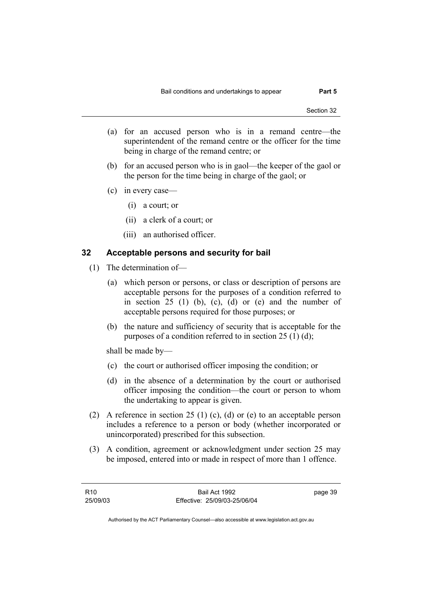- (a) for an accused person who is in a remand centre—the superintendent of the remand centre or the officer for the time being in charge of the remand centre; or
- (b) for an accused person who is in gaol—the keeper of the gaol or the person for the time being in charge of the gaol; or
- (c) in every case—
	- (i) a court; or
	- (ii) a clerk of a court; or
	- (iii) an authorised officer.

## **32 Acceptable persons and security for bail**

- (1) The determination of—
	- (a) which person or persons, or class or description of persons are acceptable persons for the purposes of a condition referred to in section  $25$  (1) (b), (c), (d) or (e) and the number of acceptable persons required for those purposes; or
	- (b) the nature and sufficiency of security that is acceptable for the purposes of a condition referred to in section 25 (1) (d);

shall be made by—

- (c) the court or authorised officer imposing the condition; or
- (d) in the absence of a determination by the court or authorised officer imposing the condition—the court or person to whom the undertaking to appear is given.
- (2) A reference in section 25 (1) (c), (d) or (e) to an acceptable person includes a reference to a person or body (whether incorporated or unincorporated) prescribed for this subsection.
- (3) A condition, agreement or acknowledgment under section 25 may be imposed, entered into or made in respect of more than 1 offence.

| R10      | Bail Act 1992                | page 39 |
|----------|------------------------------|---------|
| 25/09/03 | Effective: 25/09/03-25/06/04 |         |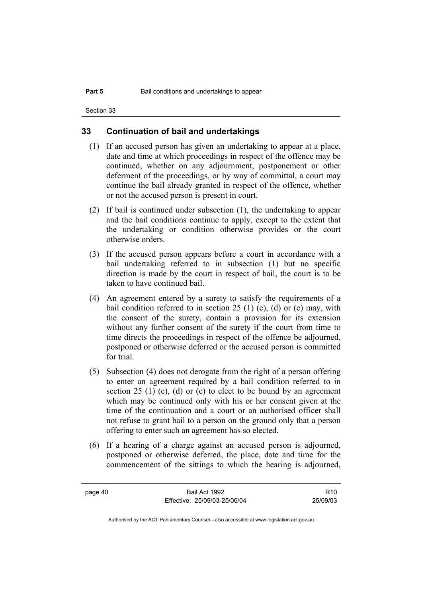## **33 Continuation of bail and undertakings**

- (1) If an accused person has given an undertaking to appear at a place, date and time at which proceedings in respect of the offence may be continued, whether on any adjournment, postponement or other deferment of the proceedings, or by way of committal, a court may continue the bail already granted in respect of the offence, whether or not the accused person is present in court.
- (2) If bail is continued under subsection (1), the undertaking to appear and the bail conditions continue to apply, except to the extent that the undertaking or condition otherwise provides or the court otherwise orders.
- (3) If the accused person appears before a court in accordance with a bail undertaking referred to in subsection (1) but no specific direction is made by the court in respect of bail, the court is to be taken to have continued bail.
- (4) An agreement entered by a surety to satisfy the requirements of a bail condition referred to in section 25 (1) (c), (d) or (e) may, with the consent of the surety, contain a provision for its extension without any further consent of the surety if the court from time to time directs the proceedings in respect of the offence be adjourned, postponed or otherwise deferred or the accused person is committed for trial.
- (5) Subsection (4) does not derogate from the right of a person offering to enter an agreement required by a bail condition referred to in section 25 (1) (c), (d) or (e) to elect to be bound by an agreement which may be continued only with his or her consent given at the time of the continuation and a court or an authorised officer shall not refuse to grant bail to a person on the ground only that a person offering to enter such an agreement has so elected.
- (6) If a hearing of a charge against an accused person is adjourned, postponed or otherwise deferred, the place, date and time for the commencement of the sittings to which the hearing is adjourned,

| page 40 | Bail Act 1992                | R <sub>10</sub> |
|---------|------------------------------|-----------------|
|         | Effective: 25/09/03-25/06/04 | 25/09/03        |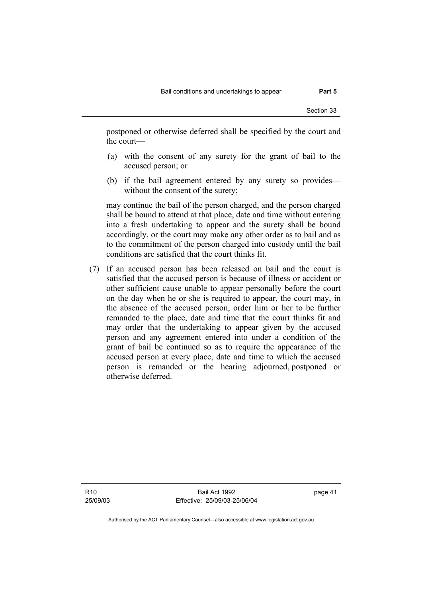postponed or otherwise deferred shall be specified by the court and the court—

- (a) with the consent of any surety for the grant of bail to the accused person; or
- (b) if the bail agreement entered by any surety so provides without the consent of the surety;

may continue the bail of the person charged, and the person charged shall be bound to attend at that place, date and time without entering into a fresh undertaking to appear and the surety shall be bound accordingly, or the court may make any other order as to bail and as to the commitment of the person charged into custody until the bail conditions are satisfied that the court thinks fit.

 (7) If an accused person has been released on bail and the court is satisfied that the accused person is because of illness or accident or other sufficient cause unable to appear personally before the court on the day when he or she is required to appear, the court may, in the absence of the accused person, order him or her to be further remanded to the place, date and time that the court thinks fit and may order that the undertaking to appear given by the accused person and any agreement entered into under a condition of the grant of bail be continued so as to require the appearance of the accused person at every place, date and time to which the accused person is remanded or the hearing adjourned, postponed or otherwise deferred.

R10 25/09/03

Bail Act 1992 Effective: 25/09/03-25/06/04 page 41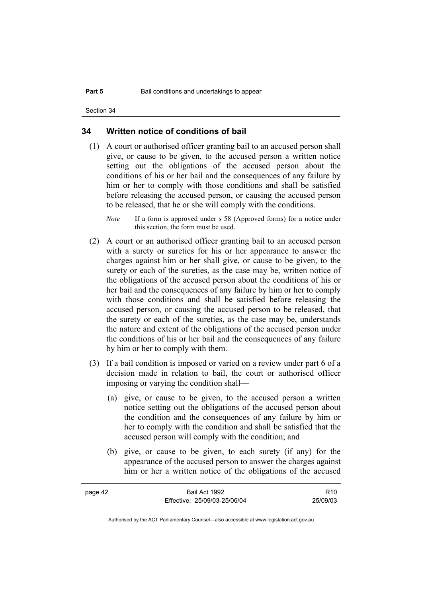## **34 Written notice of conditions of bail**

 (1) A court or authorised officer granting bail to an accused person shall give, or cause to be given, to the accused person a written notice setting out the obligations of the accused person about the conditions of his or her bail and the consequences of any failure by him or her to comply with those conditions and shall be satisfied before releasing the accused person, or causing the accused person to be released, that he or she will comply with the conditions.

*Note* If a form is approved under s 58 (Approved forms) for a notice under this section, the form must be used.

- (2) A court or an authorised officer granting bail to an accused person with a surety or sureties for his or her appearance to answer the charges against him or her shall give, or cause to be given, to the surety or each of the sureties, as the case may be, written notice of the obligations of the accused person about the conditions of his or her bail and the consequences of any failure by him or her to comply with those conditions and shall be satisfied before releasing the accused person, or causing the accused person to be released, that the surety or each of the sureties, as the case may be, understands the nature and extent of the obligations of the accused person under the conditions of his or her bail and the consequences of any failure by him or her to comply with them.
- (3) If a bail condition is imposed or varied on a review under part 6 of a decision made in relation to bail, the court or authorised officer imposing or varying the condition shall—
	- (a) give, or cause to be given, to the accused person a written notice setting out the obligations of the accused person about the condition and the consequences of any failure by him or her to comply with the condition and shall be satisfied that the accused person will comply with the condition; and
	- (b) give, or cause to be given, to each surety (if any) for the appearance of the accused person to answer the charges against him or her a written notice of the obligations of the accused

| page 42 | Bail Act 1992                | R <sub>10</sub> |
|---------|------------------------------|-----------------|
|         | Effective: 25/09/03-25/06/04 | 25/09/03        |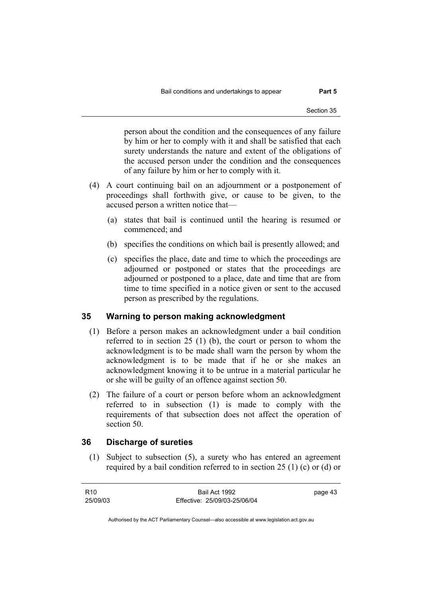person about the condition and the consequences of any failure by him or her to comply with it and shall be satisfied that each surety understands the nature and extent of the obligations of the accused person under the condition and the consequences of any failure by him or her to comply with it.

- (4) A court continuing bail on an adjournment or a postponement of proceedings shall forthwith give, or cause to be given, to the accused person a written notice that—
	- (a) states that bail is continued until the hearing is resumed or commenced; and
	- (b) specifies the conditions on which bail is presently allowed; and
	- (c) specifies the place, date and time to which the proceedings are adjourned or postponed or states that the proceedings are adjourned or postponed to a place, date and time that are from time to time specified in a notice given or sent to the accused person as prescribed by the regulations.

## **35 Warning to person making acknowledgment**

- (1) Before a person makes an acknowledgment under a bail condition referred to in section 25 (1) (b), the court or person to whom the acknowledgment is to be made shall warn the person by whom the acknowledgment is to be made that if he or she makes an acknowledgment knowing it to be untrue in a material particular he or she will be guilty of an offence against section 50.
- (2) The failure of a court or person before whom an acknowledgment referred to in subsection (1) is made to comply with the requirements of that subsection does not affect the operation of section 50.

## **36 Discharge of sureties**

 (1) Subject to subsection (5), a surety who has entered an agreement required by a bail condition referred to in section 25 (1) (c) or (d) or

| R <sub>10</sub> | Bail Act 1992                | page 43 |
|-----------------|------------------------------|---------|
| 25/09/03        | Effective: 25/09/03-25/06/04 |         |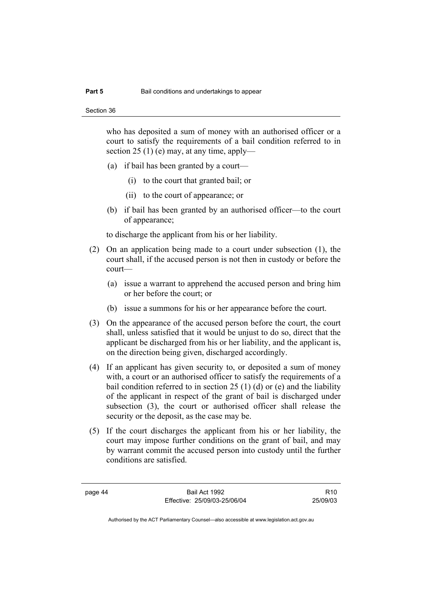who has deposited a sum of money with an authorised officer or a court to satisfy the requirements of a bail condition referred to in section 25 (1) (e) may, at any time, apply—

- (a) if bail has been granted by a court—
	- (i) to the court that granted bail; or
	- (ii) to the court of appearance; or
- (b) if bail has been granted by an authorised officer—to the court of appearance;

to discharge the applicant from his or her liability.

- (2) On an application being made to a court under subsection (1), the court shall, if the accused person is not then in custody or before the court—
	- (a) issue a warrant to apprehend the accused person and bring him or her before the court; or
	- (b) issue a summons for his or her appearance before the court.
- (3) On the appearance of the accused person before the court, the court shall, unless satisfied that it would be unjust to do so, direct that the applicant be discharged from his or her liability, and the applicant is, on the direction being given, discharged accordingly.
- (4) If an applicant has given security to, or deposited a sum of money with, a court or an authorised officer to satisfy the requirements of a bail condition referred to in section 25 (1) (d) or (e) and the liability of the applicant in respect of the grant of bail is discharged under subsection (3), the court or authorised officer shall release the security or the deposit, as the case may be.
- (5) If the court discharges the applicant from his or her liability, the court may impose further conditions on the grant of bail, and may by warrant commit the accused person into custody until the further conditions are satisfied.

page 44 Bail Act 1992 Effective: 25/09/03-25/06/04

R10 25/09/03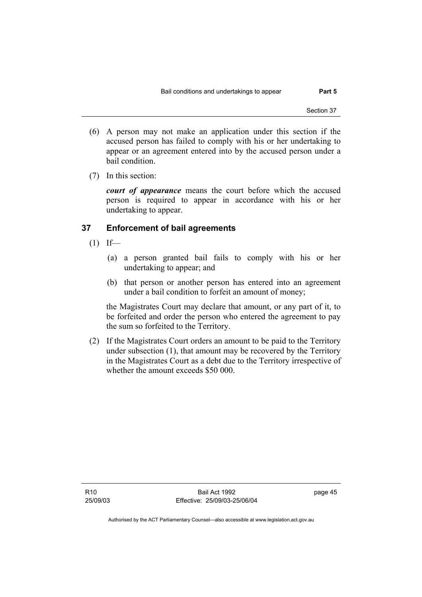- (6) A person may not make an application under this section if the accused person has failed to comply with his or her undertaking to appear or an agreement entered into by the accused person under a bail condition.
- (7) In this section:

*court of appearance* means the court before which the accused person is required to appear in accordance with his or her undertaking to appear.

## **37 Enforcement of bail agreements**

- $(1)$  If—
	- (a) a person granted bail fails to comply with his or her undertaking to appear; and
	- (b) that person or another person has entered into an agreement under a bail condition to forfeit an amount of money;

the Magistrates Court may declare that amount, or any part of it, to be forfeited and order the person who entered the agreement to pay the sum so forfeited to the Territory.

 (2) If the Magistrates Court orders an amount to be paid to the Territory under subsection (1), that amount may be recovered by the Territory in the Magistrates Court as a debt due to the Territory irrespective of whether the amount exceeds \$50 000.

page 45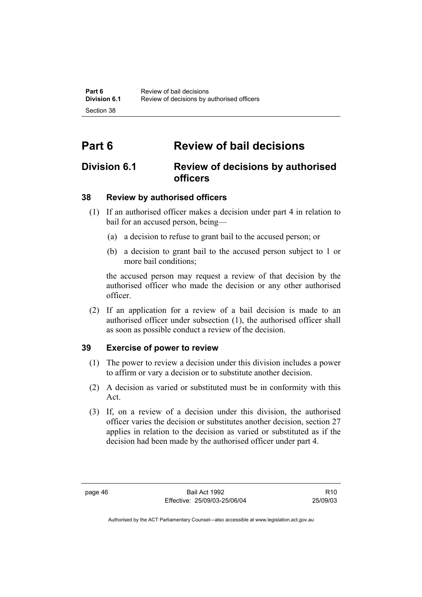# **Part 6 Review of bail decisions**

# **Division 6.1 Review of decisions by authorised officers**

## **38 Review by authorised officers**

- (1) If an authorised officer makes a decision under part 4 in relation to bail for an accused person, being—
	- (a) a decision to refuse to grant bail to the accused person; or
	- (b) a decision to grant bail to the accused person subject to 1 or more bail conditions;

the accused person may request a review of that decision by the authorised officer who made the decision or any other authorised officer.

 (2) If an application for a review of a bail decision is made to an authorised officer under subsection (1), the authorised officer shall as soon as possible conduct a review of the decision.

## **39 Exercise of power to review**

- (1) The power to review a decision under this division includes a power to affirm or vary a decision or to substitute another decision.
- (2) A decision as varied or substituted must be in conformity with this Act.
- (3) If, on a review of a decision under this division, the authorised officer varies the decision or substitutes another decision, section 27 applies in relation to the decision as varied or substituted as if the decision had been made by the authorised officer under part 4.

R10 25/09/03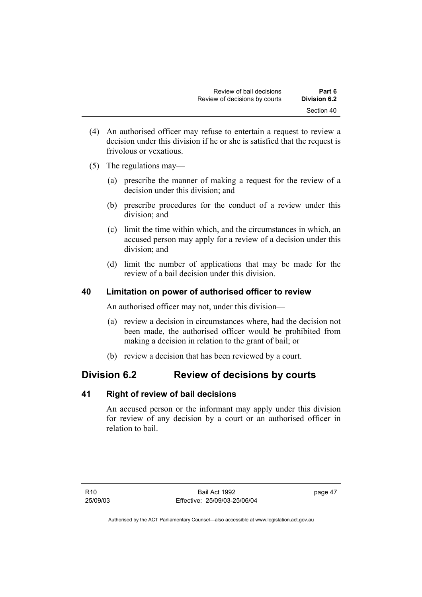- (4) An authorised officer may refuse to entertain a request to review a decision under this division if he or she is satisfied that the request is frivolous or vexatious.
- (5) The regulations may—
	- (a) prescribe the manner of making a request for the review of a decision under this division; and
	- (b) prescribe procedures for the conduct of a review under this division; and
	- (c) limit the time within which, and the circumstances in which, an accused person may apply for a review of a decision under this division; and
	- (d) limit the number of applications that may be made for the review of a bail decision under this division.

## **40 Limitation on power of authorised officer to review**

An authorised officer may not, under this division—

- (a) review a decision in circumstances where, had the decision not been made, the authorised officer would be prohibited from making a decision in relation to the grant of bail; or
- (b) review a decision that has been reviewed by a court.

## **Division 6.2 Review of decisions by courts**

## **41 Right of review of bail decisions**

An accused person or the informant may apply under this division for review of any decision by a court or an authorised officer in relation to bail.

page 47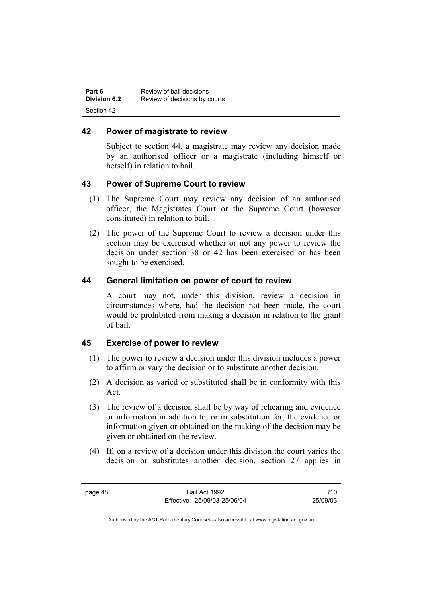| Part 6              | Review of bail decisions      |
|---------------------|-------------------------------|
| <b>Division 6.2</b> | Review of decisions by courts |
| Section 42          |                               |

## **42 Power of magistrate to review**

Subject to section 44, a magistrate may review any decision made by an authorised officer or a magistrate (including himself or herself) in relation to bail.

## **43 Power of Supreme Court to review**

- (1) The Supreme Court may review any decision of an authorised officer, the Magistrates Court or the Supreme Court (however constituted) in relation to bail.
- (2) The power of the Supreme Court to review a decision under this section may be exercised whether or not any power to review the decision under section 38 or 42 has been exercised or has been sought to be exercised.

## **44 General limitation on power of court to review**

A court may not, under this division, review a decision in circumstances where, had the decision not been made, the court would be prohibited from making a decision in relation to the grant of bail.

## **45 Exercise of power to review**

- (1) The power to review a decision under this division includes a power to affirm or vary the decision or to substitute another decision.
- (2) A decision as varied or substituted shall be in conformity with this Act.
- (3) The review of a decision shall be by way of rehearing and evidence or information in addition to, or in substitution for, the evidence or information given or obtained on the making of the decision may be given or obtained on the review.
- (4) If, on a review of a decision under this division the court varies the decision or substitutes another decision, section 27 applies in

R10 25/09/03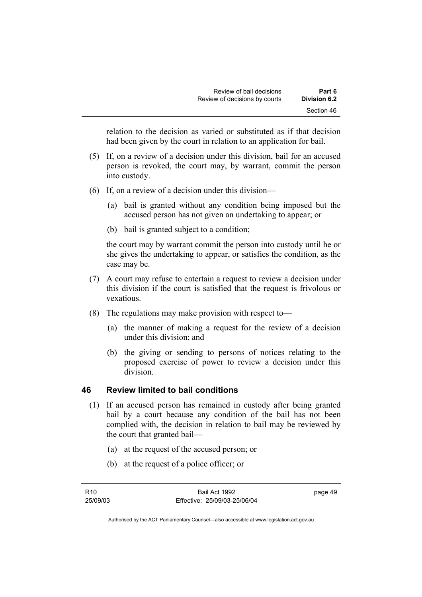relation to the decision as varied or substituted as if that decision had been given by the court in relation to an application for bail.

- (5) If, on a review of a decision under this division, bail for an accused person is revoked, the court may, by warrant, commit the person into custody.
- (6) If, on a review of a decision under this division—
	- (a) bail is granted without any condition being imposed but the accused person has not given an undertaking to appear; or
	- (b) bail is granted subject to a condition;

the court may by warrant commit the person into custody until he or she gives the undertaking to appear, or satisfies the condition, as the case may be.

- (7) A court may refuse to entertain a request to review a decision under this division if the court is satisfied that the request is frivolous or vexatious.
- (8) The regulations may make provision with respect to—
	- (a) the manner of making a request for the review of a decision under this division; and
	- (b) the giving or sending to persons of notices relating to the proposed exercise of power to review a decision under this division.

## **46 Review limited to bail conditions**

- (1) If an accused person has remained in custody after being granted bail by a court because any condition of the bail has not been complied with, the decision in relation to bail may be reviewed by the court that granted bail—
	- (a) at the request of the accused person; or
	- (b) at the request of a police officer; or

page 49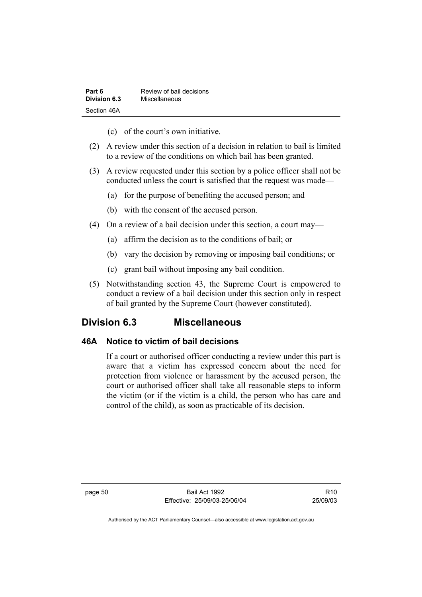| Part 6       | Review of bail decisions |
|--------------|--------------------------|
| Division 6.3 | Miscellaneous            |
| Section 46A  |                          |

- (c) of the court's own initiative.
- (2) A review under this section of a decision in relation to bail is limited to a review of the conditions on which bail has been granted.
- (3) A review requested under this section by a police officer shall not be conducted unless the court is satisfied that the request was made—
	- (a) for the purpose of benefiting the accused person; and
	- (b) with the consent of the accused person.
- (4) On a review of a bail decision under this section, a court may—
	- (a) affirm the decision as to the conditions of bail; or
	- (b) vary the decision by removing or imposing bail conditions; or
	- (c) grant bail without imposing any bail condition.
- (5) Notwithstanding section 43, the Supreme Court is empowered to conduct a review of a bail decision under this section only in respect of bail granted by the Supreme Court (however constituted).

## **Division 6.3 Miscellaneous**

## **46A Notice to victim of bail decisions**

If a court or authorised officer conducting a review under this part is aware that a victim has expressed concern about the need for protection from violence or harassment by the accused person, the court or authorised officer shall take all reasonable steps to inform the victim (or if the victim is a child, the person who has care and control of the child), as soon as practicable of its decision.

page 50 Bail Act 1992 Effective: 25/09/03-25/06/04

R10 25/09/03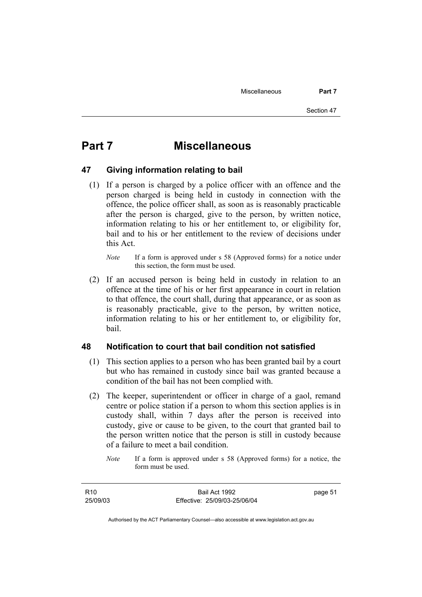# **Part 7 Miscellaneous**

## **47 Giving information relating to bail**

- (1) If a person is charged by a police officer with an offence and the person charged is being held in custody in connection with the offence, the police officer shall, as soon as is reasonably practicable after the person is charged, give to the person, by written notice, information relating to his or her entitlement to, or eligibility for, bail and to his or her entitlement to the review of decisions under this Act.
	- *Note* If a form is approved under s 58 (Approved forms) for a notice under this section, the form must be used.
- (2) If an accused person is being held in custody in relation to an offence at the time of his or her first appearance in court in relation to that offence, the court shall, during that appearance, or as soon as is reasonably practicable, give to the person, by written notice, information relating to his or her entitlement to, or eligibility for, bail.

## **48 Notification to court that bail condition not satisfied**

- (1) This section applies to a person who has been granted bail by a court but who has remained in custody since bail was granted because a condition of the bail has not been complied with.
- (2) The keeper, superintendent or officer in charge of a gaol, remand centre or police station if a person to whom this section applies is in custody shall, within 7 days after the person is received into custody, give or cause to be given, to the court that granted bail to the person written notice that the person is still in custody because of a failure to meet a bail condition.

page 51

*Note* If a form is approved under s 58 (Approved forms) for a notice, the form must be used.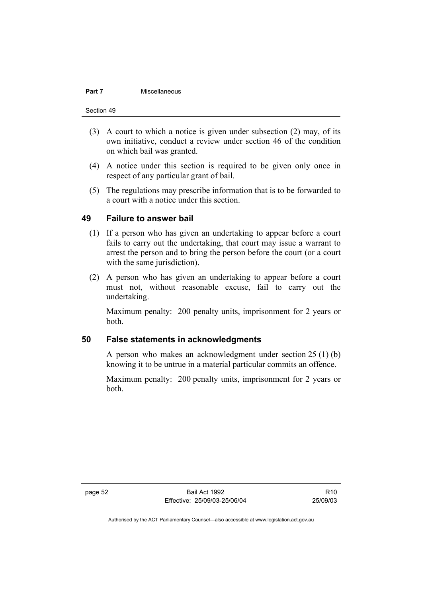#### **Part 7 Miscellaneous**

Section 49

- (3) A court to which a notice is given under subsection (2) may, of its own initiative, conduct a review under section 46 of the condition on which bail was granted.
- (4) A notice under this section is required to be given only once in respect of any particular grant of bail.
- (5) The regulations may prescribe information that is to be forwarded to a court with a notice under this section.

## **49 Failure to answer bail**

- (1) If a person who has given an undertaking to appear before a court fails to carry out the undertaking, that court may issue a warrant to arrest the person and to bring the person before the court (or a court with the same jurisdiction).
- (2) A person who has given an undertaking to appear before a court must not, without reasonable excuse, fail to carry out the undertaking.

Maximum penalty: 200 penalty units, imprisonment for 2 years or both.

## **50 False statements in acknowledgments**

A person who makes an acknowledgment under section 25 (1) (b) knowing it to be untrue in a material particular commits an offence.

Maximum penalty: 200 penalty units, imprisonment for 2 years or both.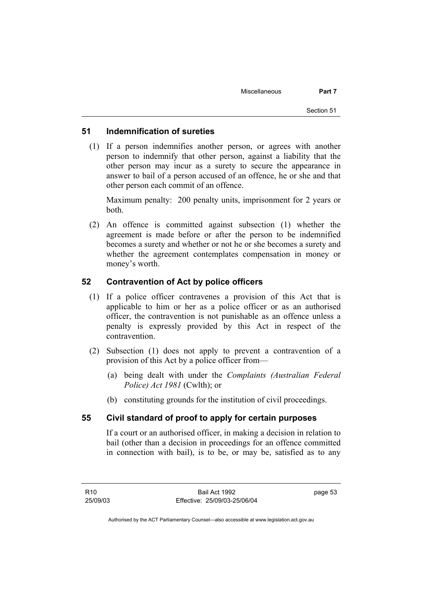## **51 Indemnification of sureties**

 (1) If a person indemnifies another person, or agrees with another person to indemnify that other person, against a liability that the other person may incur as a surety to secure the appearance in answer to bail of a person accused of an offence, he or she and that other person each commit of an offence.

Maximum penalty: 200 penalty units, imprisonment for 2 years or both.

 (2) An offence is committed against subsection (1) whether the agreement is made before or after the person to be indemnified becomes a surety and whether or not he or she becomes a surety and whether the agreement contemplates compensation in money or money's worth.

## **52 Contravention of Act by police officers**

- (1) If a police officer contravenes a provision of this Act that is applicable to him or her as a police officer or as an authorised officer, the contravention is not punishable as an offence unless a penalty is expressly provided by this Act in respect of the contravention.
- (2) Subsection (1) does not apply to prevent a contravention of a provision of this Act by a police officer from—
	- (a) being dealt with under the *Complaints (Australian Federal Police) Act 1981* (Cwlth); or
	- (b) constituting grounds for the institution of civil proceedings.

## **55 Civil standard of proof to apply for certain purposes**

If a court or an authorised officer, in making a decision in relation to bail (other than a decision in proceedings for an offence committed in connection with bail), is to be, or may be, satisfied as to any

page 53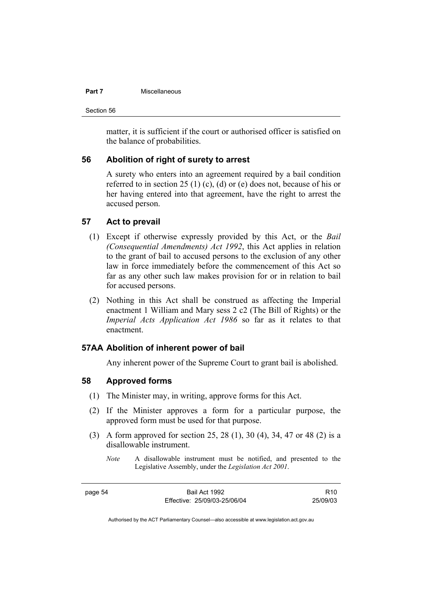## **Part 7 Miscellaneous**

Section 56

matter, it is sufficient if the court or authorised officer is satisfied on the balance of probabilities.

## **56 Abolition of right of surety to arrest**

A surety who enters into an agreement required by a bail condition referred to in section 25 (1) (c), (d) or (e) does not, because of his or her having entered into that agreement, have the right to arrest the accused person.

## **57 Act to prevail**

- (1) Except if otherwise expressly provided by this Act, or the *Bail (Consequential Amendments) Act 1992*, this Act applies in relation to the grant of bail to accused persons to the exclusion of any other law in force immediately before the commencement of this Act so far as any other such law makes provision for or in relation to bail for accused persons.
- (2) Nothing in this Act shall be construed as affecting the Imperial enactment 1 William and Mary sess 2 c2 (The Bill of Rights) or the *Imperial Acts Application Act 1986* so far as it relates to that enactment.

## **57AA Abolition of inherent power of bail**

Any inherent power of the Supreme Court to grant bail is abolished.

## **58 Approved forms**

- (1) The Minister may, in writing, approve forms for this Act.
- (2) If the Minister approves a form for a particular purpose, the approved form must be used for that purpose.
- (3) A form approved for section 25, 28 (1), 30 (4), 34, 47 or 48 (2) is a disallowable instrument.
	- *Note* A disallowable instrument must be notified, and presented to the Legislative Assembly, under the *Legislation Act 2001*.

page 54 Bail Act 1992 Effective: 25/09/03-25/06/04

R10 25/09/03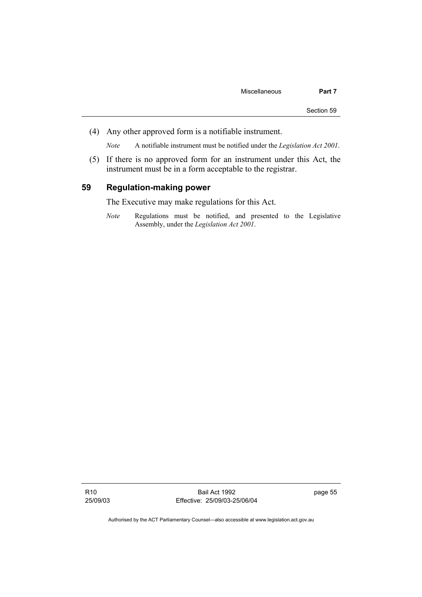(4) Any other approved form is a notifiable instrument.

*Note* A notifiable instrument must be notified under the *Legislation Act 2001*.

 (5) If there is no approved form for an instrument under this Act, the instrument must be in a form acceptable to the registrar.

## **59 Regulation-making power**

The Executive may make regulations for this Act.

*Note* Regulations must be notified, and presented to the Legislative Assembly, under the *Legislation Act 2001*.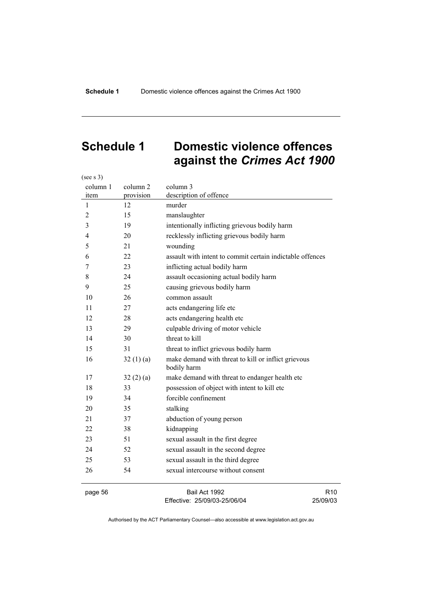(see s 3)

# **Schedule 1 Domestic violence offences against the** *Crimes Act 1900*

| column 1<br>item | column 2<br>provision | column 3<br>description of offence                                 |
|------------------|-----------------------|--------------------------------------------------------------------|
| 1                | 12                    | murder                                                             |
| $\overline{2}$   | 15                    | manslaughter                                                       |
| 3                | 19                    | intentionally inflicting grievous bodily harm                      |
| 4                | 20                    | recklessly inflicting grievous bodily harm                         |
| 5                | 21                    | wounding                                                           |
| 6                | 22                    | assault with intent to commit certain indictable offences          |
| 7                | 23                    | inflicting actual bodily harm                                      |
| 8                | 24                    | assault occasioning actual bodily harm                             |
| 9                | 25                    | causing grievous bodily harm                                       |
| 10               | 26                    | common assault                                                     |
| 11               | 27                    | acts endangering life etc                                          |
| 12               | 28                    | acts endangering health etc                                        |
| 13               | 29                    | culpable driving of motor vehicle                                  |
| 14               | 30                    | threat to kill                                                     |
| 15               | 31                    | threat to inflict grievous bodily harm                             |
| 16               | 32(1)(a)              | make demand with threat to kill or inflict grievous<br>bodily harm |
| 17               | 32(2)(a)              | make demand with threat to endanger health etc                     |
| 18               | 33                    | possession of object with intent to kill etc                       |
| 19               | 34                    | forcible confinement                                               |
| 20               | 35                    | stalking                                                           |
| 21               | 37                    | abduction of young person                                          |
| 22               | 38                    | kidnapping                                                         |
| 23               | 51                    | sexual assault in the first degree                                 |
| 24               | 52                    | sexual assault in the second degree                                |
| 25               | 53                    | sexual assault in the third degree                                 |
| 26               | 54                    | sexual intercourse without consent                                 |
|                  |                       |                                                                    |

page 56 Bail Act 1992 Effective: 25/09/03-25/06/04

R10 25/09/03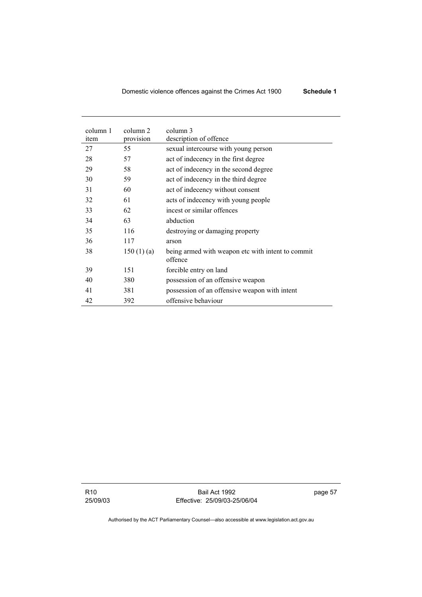| column 1<br>item | column 2<br>provision | column 3<br>description of offence                           |
|------------------|-----------------------|--------------------------------------------------------------|
| 27               | 55                    | sexual intercourse with young person                         |
| 28               | 57                    | act of indecency in the first degree                         |
| 29               | 58                    | act of indecency in the second degree                        |
| 30               | 59                    | act of indecency in the third degree                         |
| 31               | 60                    | act of indecency without consent                             |
| 32               | 61                    | acts of indecency with young people                          |
| 33               | 62                    | incest or similar offences                                   |
| 34               | 63                    | abduction                                                    |
| 35               | 116                   | destroying or damaging property                              |
| 36               | 117                   | arson                                                        |
| 38               | 150(1)(a)             | being armed with weapon etc with intent to commit<br>offence |
| 39               | 151                   | forcible entry on land                                       |
| 40               | 380                   | possession of an offensive weapon                            |
| 41               | 381                   | possession of an offensive weapon with intent                |
| 42               | 392                   | offensive behaviour                                          |

R10 25/09/03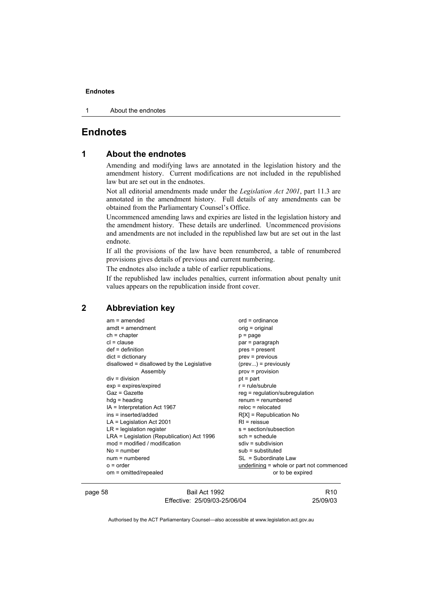1 About the endnotes

## **Endnotes**

## **1 About the endnotes**

Amending and modifying laws are annotated in the legislation history and the amendment history. Current modifications are not included in the republished law but are set out in the endnotes.

Not all editorial amendments made under the *Legislation Act 2001*, part 11.3 are annotated in the amendment history. Full details of any amendments can be obtained from the Parliamentary Counsel's Office.

Uncommenced amending laws and expiries are listed in the legislation history and the amendment history. These details are underlined. Uncommenced provisions and amendments are not included in the republished law but are set out in the last endnote.

If all the provisions of the law have been renumbered, a table of renumbered provisions gives details of previous and current numbering.

The endnotes also include a table of earlier republications.

If the republished law includes penalties, current information about penalty unit values appears on the republication inside front cover.

## **2 Abbreviation key**

| $am = amended$                             | $ord = ordinance$                         |
|--------------------------------------------|-------------------------------------------|
| $amdt = amendment$                         | orig = original                           |
| $ch = chapter$                             | $p = page$                                |
| $cl = clause$                              | par = paragraph                           |
| $def = definition$                         | pres = present                            |
| $dict = dictionary$                        | prev = previous                           |
| disallowed = disallowed by the Legislative | $(\text{prev})$ = previously              |
| Assembly                                   | $prov = provision$                        |
| $div = division$                           | $pt = part$                               |
| $exp = expires/expired$                    | $r = rule/subrule$                        |
| Gaz = Gazette                              | $reg = regulation/subregulation$          |
| $hdg =$ heading                            | $renum = renumbered$                      |
| IA = Interpretation Act 1967               | $reloc = relocated$                       |
| ins = inserted/added                       | $R[X]$ = Republication No                 |
| $LA =$ Legislation Act 2001                | $RI = reissue$                            |
| $LR =$ legislation register                | s = section/subsection                    |
| LRA = Legislation (Republication) Act 1996 | $sch = schedule$                          |
| mod = modified / modification              | $sdiv = subdivision$                      |
| $No = number$                              | $sub =$ substituted                       |
| $num = numbered$                           | SL = Subordinate Law                      |
| $o = order$                                | underlining = whole or part not commenced |
| om = omitted/repealed                      | or to be expired                          |
|                                            |                                           |

page 58 Bail Act 1992 Effective: 25/09/03-25/06/04

R10 25/09/03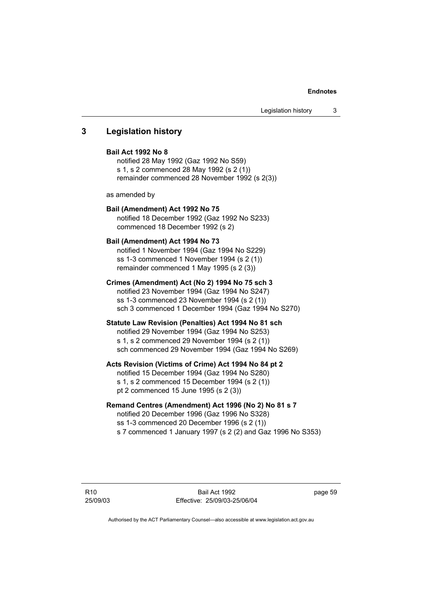## **3 Legislation history**

## **Bail Act 1992 No 8**

notified 28 May 1992 (Gaz 1992 No S59) s 1, s 2 commenced 28 May 1992 (s 2 (1)) remainder commenced 28 November 1992 (s 2(3))

as amended by

#### **Bail (Amendment) Act 1992 No 75**

notified 18 December 1992 (Gaz 1992 No S233) commenced 18 December 1992 (s 2)

#### **Bail (Amendment) Act 1994 No 73**

notified 1 November 1994 (Gaz 1994 No S229) ss 1-3 commenced 1 November 1994 (s 2 (1)) remainder commenced 1 May 1995 (s 2 (3))

#### **Crimes (Amendment) Act (No 2) 1994 No 75 sch 3**  notified 23 November 1994 (Gaz 1994 No S247)

ss 1-3 commenced 23 November 1994 (s 2 (1)) sch 3 commenced 1 December 1994 (Gaz 1994 No S270)

## **Statute Law Revision (Penalties) Act 1994 No 81 sch**

notified 29 November 1994 (Gaz 1994 No S253) s 1, s 2 commenced 29 November 1994 (s 2 (1)) sch commenced 29 November 1994 (Gaz 1994 No S269)

#### **Acts Revision (Victims of Crime) Act 1994 No 84 pt 2**

notified 15 December 1994 (Gaz 1994 No S280) s 1, s 2 commenced 15 December 1994 (s 2 (1)) pt 2 commenced 15 June 1995 (s 2 (3))

#### **Remand Centres (Amendment) Act 1996 (No 2) No 81 s 7**

notified 20 December 1996 (Gaz 1996 No S328) ss 1-3 commenced 20 December 1996 (s 2 (1)) s 7 commenced 1 January 1997 (s 2 (2) and Gaz 1996 No S353)

R10 25/09/03 page 59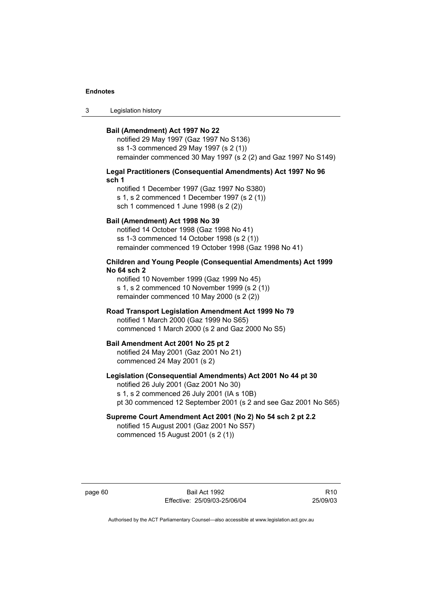3 Legislation history

#### **Bail (Amendment) Act 1997 No 22**

notified 29 May 1997 (Gaz 1997 No S136) ss 1-3 commenced 29 May 1997 (s 2 (1)) remainder commenced 30 May 1997 (s 2 (2) and Gaz 1997 No S149)

### **Legal Practitioners (Consequential Amendments) Act 1997 No 96 sch 1**

notified 1 December 1997 (Gaz 1997 No S380) s 1, s 2 commenced 1 December 1997 (s 2 (1)) sch 1 commenced 1 June 1998 (s 2 (2))

#### **Bail (Amendment) Act 1998 No 39**

notified 14 October 1998 (Gaz 1998 No 41) ss 1-3 commenced 14 October 1998 (s 2 (1)) remainder commenced 19 October 1998 (Gaz 1998 No 41)

#### **Children and Young People (Consequential Amendments) Act 1999 No 64 sch 2**

notified 10 November 1999 (Gaz 1999 No 45) s 1, s 2 commenced 10 November 1999 (s 2 (1)) remainder commenced 10 May 2000 (s 2 (2))

## **Road Transport Legislation Amendment Act 1999 No 79**

notified 1 March 2000 (Gaz 1999 No S65) commenced 1 March 2000 (s 2 and Gaz 2000 No S5)

#### **Bail Amendment Act 2001 No 25 pt 2**

notified 24 May 2001 (Gaz 2001 No 21) commenced 24 May 2001 (s 2)

#### **Legislation (Consequential Amendments) Act 2001 No 44 pt 30**

notified 26 July 2001 (Gaz 2001 No 30) s 1, s 2 commenced 26 July 2001 (IA s 10B) pt 30 commenced 12 September 2001 (s 2 and see Gaz 2001 No S65)

#### **Supreme Court Amendment Act 2001 (No 2) No 54 sch 2 pt 2.2**  notified 15 August 2001 (Gaz 2001 No S57)

commenced 15 August 2001 (s 2 (1))

page 60 Bail Act 1992 Effective: 25/09/03-25/06/04

R10 25/09/03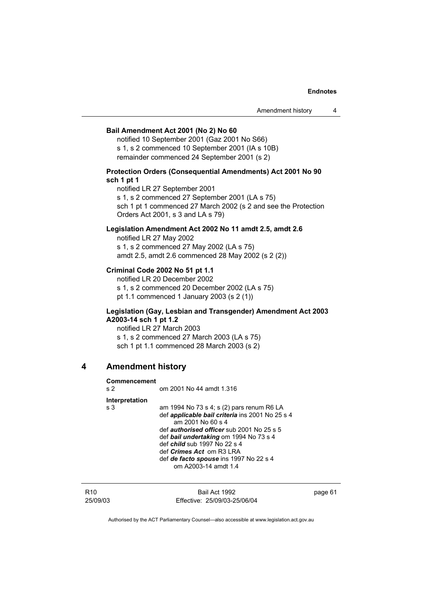### **Bail Amendment Act 2001 (No 2) No 60**

notified 10 September 2001 (Gaz 2001 No S66) s 1, s 2 commenced 10 September 2001 (IA s 10B) remainder commenced 24 September 2001 (s 2)

#### **Protection Orders (Consequential Amendments) Act 2001 No 90 sch 1 pt 1**

notified LR 27 September 2001 s 1, s 2 commenced 27 September 2001 (LA s 75) sch 1 pt 1 commenced 27 March 2002 (s 2 and see the Protection Orders Act 2001, s 3 and LA s 79)

## **Legislation Amendment Act 2002 No 11 amdt 2.5, amdt 2.6**

notified LR 27 May 2002 s 1, s 2 commenced 27 May 2002 (LA s 75) amdt 2.5, amdt 2.6 commenced 28 May 2002 (s 2 (2))

#### **Criminal Code 2002 No 51 pt 1.1**

notified LR 20 December 2002 s 1, s 2 commenced 20 December 2002 (LA s 75) pt 1.1 commenced 1 January 2003 (s 2 (1))

#### **Legislation (Gay, Lesbian and Transgender) Amendment Act 2003 A2003-14 sch 1 pt 1.2**

notified LR 27 March 2003 s 1, s 2 commenced 27 March 2003 (LA s 75) sch 1 pt 1.1 commenced 28 March 2003 (s 2)

## **4 Amendment history**

#### **Commencement**

| s <sub>2</sub> | om 2001 No 44 amdt 1.316                                                                                                                                                                                                                                                                                                                                           |
|----------------|--------------------------------------------------------------------------------------------------------------------------------------------------------------------------------------------------------------------------------------------------------------------------------------------------------------------------------------------------------------------|
| Interpretation |                                                                                                                                                                                                                                                                                                                                                                    |
| s 3            | am 1994 No 73 s 4; s (2) pars renum R6 LA<br>def <i>applicable bail criteria</i> ins 2001 No 25 s 4<br>am 2001 No 60 s 4<br>def <i>authorised officer</i> sub 2001 No 25 s 5<br>def bail undertaking om 1994 No 73 s 4<br>def <i>child</i> sub 1997 No 22 s 4<br>def <i>Crimes Act</i> om R3 LRA<br>def de facto spouse ins 1997 No 22 s 4<br>om A2003-14 amdt 1.4 |

| R10      | Bail Act 1992                | page 61 |
|----------|------------------------------|---------|
| 25/09/03 | Effective: 25/09/03-25/06/04 |         |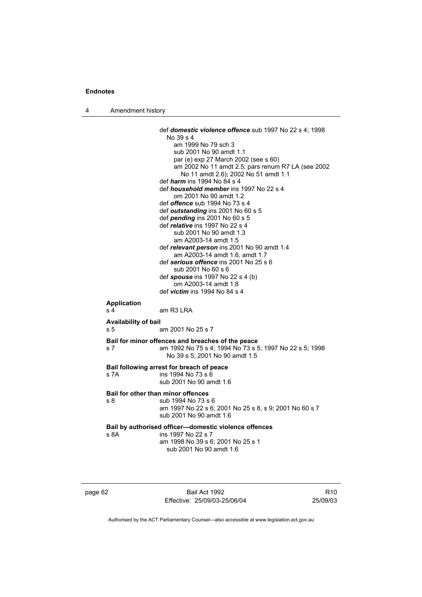4 Amendment history

```
 def domestic violence offence sub 1997 No 22 s 4; 1998 
                   No 39 s 4 
                       am 1999 No 79 sch 3 
                       sub 2001 No 90 amdt 1.1 
                       par (e) exp 27 March 2002 (see s 60) 
                       am 2002 No 11 amdt 2.5; pars renum R7 LA (see 2002 
                        No 11 amdt 2.6); 2002 No 51 amdt 1.1 
                  def harm ins 1994 No 84 s 4 
                  def household member ins 1997 No 22 s 4 
                       om 2001 No 90 amdt 1.2 
                  def offence sub 1994 No 73 s 4 
                  def outstanding ins 2001 No 60 s 5 
                  def pending ins 2001 No 60 s 5 
                  def relative ins 1997 No 22 s 4 
                       sub 2001 No 90 amdt 1.3 
                       am A2003-14 amdt 1.5 
                  def relevant person ins 2001 No 90 amdt 1.4 
                       am A2003-14 amdt 1.6, amdt 1.7 
                  def serious offence ins 2001 No 25 s 6 
                       sub 2001 No 60 s 6 
                  def spouse ins 1997 No 22 s 4 (b) 
                       om A2003-14 amdt 1.8 
                  def victim ins 1994 No 84 s 4 
Application 
s 4 am R3 LRA
Availability of bail 
s 5 am 2001 No 25 s 7 
Bail for minor offences and breaches of the peace
s 7 am 1992 No 75 s 4; 1994 No 73 s 5; 1997 No 22 s 5; 1998 
                   No 39 s 5; 2001 No 90 amdt 1.5 
Bail following arrest for breach of peace
s 7A ins 1994 No 73 s 6 
                  sub 2001 No 90 amdt 1.6 
Bail for other than minor offences
s 8 sub 1994 No 73 s 6 
                  am 1997 No 22 s 6; 2001 No 25 s 8, s 9; 2001 No 60 s 7 
                  sub 2001 No 90 amdt 1.6 
Bail by authorised officer—domestic violence offences
s 8A ins 1997 No 22 s 7 
                  am 1998 No 39 s 6; 2001 No 25 s 1
                    sub 2001 No 90 amdt 1.6
```
page 62 Bail Act 1992 Effective: 25/09/03-25/06/04

R10 25/09/03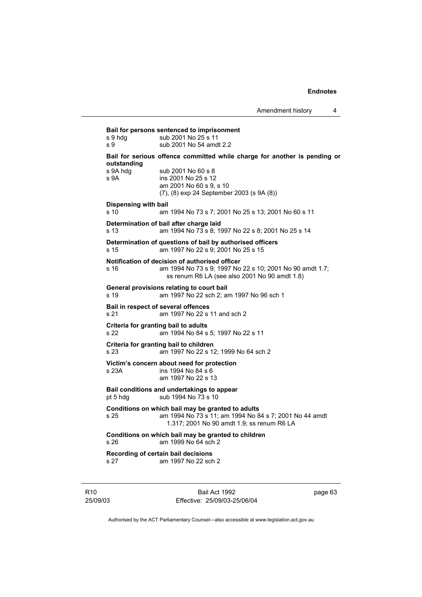**Bail for persons sentenced to imprisonment**  s 9 hdg sub 2001 No 25 s 11 s 9 sub 2001 No 54 amdt 2.2 **Bail for serious offence committed while charge for another is pending or outstanding**  s 9A hdg sub 2001 No 60 s 8 s 9A ins 2001 No 25 s 12 am 2001 No 60 s 9, s 10 (7), (8) exp 24 September 2003 (s 9A (8)) **Dispensing with bail** s 10 am 1994 No 73 s 7; 2001 No 25 s 13; 2001 No 60 s 11 **Determination of bail after charge laid** s 13 am 1994 No 73 s 8; 1997 No 22 s 8; 2001 No 25 s 14 **Determination of questions of bail by authorised officers** s 15 am 1997 No 22 s 9; 2001 No 25 s 15 **Notification of decision of authorised officer** s 16 am 1994 No 73 s 9; 1997 No 22 s 10; 2001 No 90 amdt 1.7; ss renum R6 LA (see also 2001 No 90 amdt 1.8) **General provisions relating to court bail** s 19 am 1997 No 22 sch 2; am 1997 No 96 sch 1 **Bail in respect of several offences** s 21 am 1997 No 22 s 11 and sch 2 **Criteria for granting bail to adults** s 22 am 1994 No 84 s 5; 1997 No 22 s 11 **Criteria for granting bail to children** s 23 am 1997 No 22 s 12; 1999 No 64 sch 2 **Victim's concern about need for protection** s 23A ins 1994 No 84 s 6 am 1997 No 22 s 13 **Bail conditions and undertakings to appear** pt 5 hdg sub 1994 No 73 s 10 **Conditions on which bail may be granted to adults** s 25 am 1994 No 73 s 11; am 1994 No 84 s 7; 2001 No 44 amdt 1.317; 2001 No 90 amdt 1.9; ss renum R6 LA **Conditions on which bail may be granted to children** s 26 am 1999 No 64 sch 2 **Recording of certain bail decisions** s 27 am 1997 No 22 sch 2

R10 25/09/03

Bail Act 1992 Effective: 25/09/03-25/06/04 page 63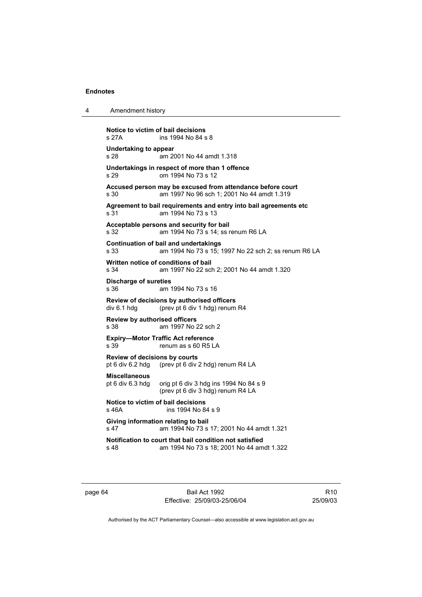4 Amendment history

| Notice to victim of bail decisions<br>s 27A                                                     | ins 1994 No 84 s 8                                                                                       |  |  |  |
|-------------------------------------------------------------------------------------------------|----------------------------------------------------------------------------------------------------------|--|--|--|
| Undertaking to appear<br>s 28                                                                   | am 2001 No 44 amdt 1.318                                                                                 |  |  |  |
| s 29                                                                                            | Undertakings in respect of more than 1 offence<br>om 1994 No 73 s 12                                     |  |  |  |
| s 30                                                                                            | Accused person may be excused from attendance before court<br>am 1997 No 96 sch 1; 2001 No 44 amdt 1.319 |  |  |  |
| Agreement to bail requirements and entry into bail agreements etc<br>s 31<br>am 1994 No 73 s 13 |                                                                                                          |  |  |  |
| s 32                                                                                            | Acceptable persons and security for bail<br>am 1994 No 73 s 14: ss renum R6 LA                           |  |  |  |
| s 33                                                                                            | <b>Continuation of bail and undertakings</b><br>am 1994 No 73 s 15; 1997 No 22 sch 2; ss renum R6 LA     |  |  |  |
| s 34                                                                                            | Written notice of conditions of bail<br>am 1997 No 22 sch 2; 2001 No 44 amdt 1.320                       |  |  |  |
| Discharge of sureties<br>s 36                                                                   | am 1994 No 73 s 16                                                                                       |  |  |  |
| div 6.1 hdg                                                                                     | <b>Review of decisions by authorised officers</b><br>(prev pt 6 div 1 hdg) renum R4                      |  |  |  |
| <b>Review by authorised officers</b><br>s 38                                                    | am 1997 No 22 sch 2                                                                                      |  |  |  |
| s 39                                                                                            | <b>Expiry-Motor Traffic Act reference</b><br>renum as s 60 R5 LA                                         |  |  |  |
| <b>Review of decisions by courts</b><br>pt 6 div 6.2 hdg                                        | (prev pt 6 div 2 hdg) renum R4 LA                                                                        |  |  |  |
| <b>Miscellaneous</b><br>pt 6 div 6.3 hdg                                                        | orig pt 6 div 3 hdg ins 1994 No 84 s 9<br>(prev pt 6 div 3 hdg) renum R4 LA                              |  |  |  |
| Notice to victim of bail decisions<br>s 46A                                                     | ins 1994 No 84 s 9                                                                                       |  |  |  |
| Giving information relating to bail<br>am 1994 No 73 s 17; 2001 No 44 amdt 1.321<br>s 47        |                                                                                                          |  |  |  |
| s 48                                                                                            | Notification to court that bail condition not satisfied<br>am 1994 No 73 s 18; 2001 No 44 amdt 1.322     |  |  |  |
|                                                                                                 |                                                                                                          |  |  |  |

page 64 Bail Act 1992 Effective: 25/09/03-25/06/04

R10 25/09/03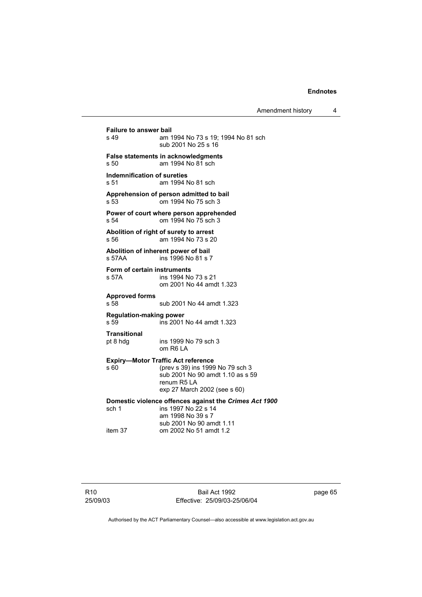**Failure to answer bail**<br>s 49 am 1 am 1994 No 73 s 19: 1994 No 81 sch sub 2001 No 25 s 16 **False statements in acknowledgments** s 50 am 1994 No 81 sch **Indemnification of sureties** s 51 am 1994 No 81 sch **Apprehension of person admitted to bail** s 53 om 1994 No 75 sch 3 **Power of court where person apprehended** s 54 om 1994 No 75 sch 3 **Abolition of right of surety to arrest** s 56 am 1994 No 73 s 20 **Abolition of inherent power of bail** s 57AA ins 1996 No 81 s 7 **Form of certain instruments** s 57A ins 1994 No 73 s 21 om 2001 No 44 amdt 1.323 **Approved forms**  s 58 sub 2001 No 44 amdt 1.323 **Regulation-making power**  ins 2001 No 44 amdt 1.323 **Transitional** pt 8 hdg ins 1999 No 79 sch 3 om R6 LA **Expiry—Motor Traffic Act reference** s 60 (prev s 39) ins 1999 No 79 sch 3 sub 2001 No 90 amdt 1.10 as s 59 renum R5 LA exp 27 March 2002 (see s 60) **Domestic violence offences against the** *Crimes Act 1900***<br>sch 1 ins 1997 No 22 s 14** ins 1997 No  $22$  s 14 am 1998 No 39 s 7 sub 2001 No 90 amdt 1.11 om 2002 No 51 amdt 1.2

page 65